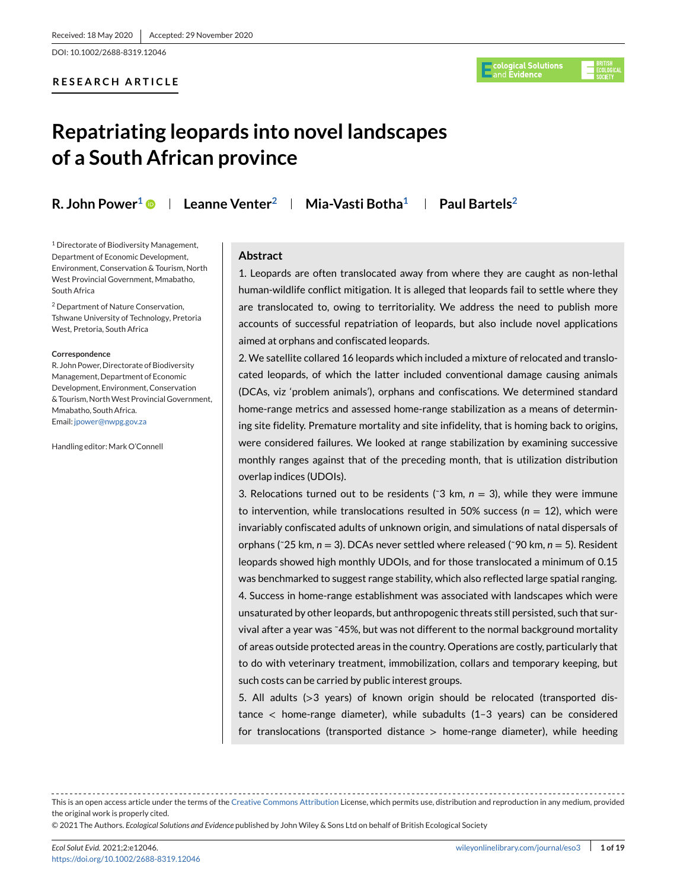DOI: 10.1002/2688-8319.12046

# **RESEARCH ARTICLE**



# **Repatriating leopards into novel landscapes of a South African province**

**R. John Power1 Leanne Venter2 Mia-Vasti Botha1 Paul Bartels2**

<sup>1</sup> Directorate of Biodiversity Management, Department of Economic Development, Environment, Conservation & Tourism, North West Provincial Government, Mmabatho, South Africa

<sup>2</sup> Department of Nature Conservation, Tshwane University of Technology, Pretoria West, Pretoria, South Africa

#### **Correspondence**

R. John Power, Directorate of Biodiversity Management, Department of Economic Development, Environment, Conservation & Tourism, NorthWest Provincial Government, Mmabatho, South Africa. Email: [jpower@nwpg.gov.za](mailto:jpower@nwpg.gov.za)

Handling editor: Mark O'Connell

# **Abstract**

1. Leopards are often translocated away from where they are caught as non-lethal human-wildlife conflict mitigation. It is alleged that leopards fail to settle where they are translocated to, owing to territoriality. We address the need to publish more accounts of successful repatriation of leopards, but also include novel applications aimed at orphans and confiscated leopards.

2. We satellite collared 16 leopards which included a mixture of relocated and translocated leopards, of which the latter included conventional damage causing animals (DCAs, viz 'problem animals'), orphans and confiscations. We determined standard home-range metrics and assessed home-range stabilization as a means of determining site fidelity. Premature mortality and site infidelity, that is homing back to origins, were considered failures. We looked at range stabilization by examining successive monthly ranges against that of the preceding month, that is utilization distribution overlap indices (UDOIs).

3. Relocations turned out to be residents ( $\degree$ 3 km,  $n = 3$ ), while they were immune to intervention, while translocations resulted in 50% success ( $n = 12$ ), which were invariably confiscated adults of unknown origin, and simulations of natal dispersals of orphans (˜25 km, *n* = 3). DCAs never settled where released (˜90 km, *n* = 5). Resident leopards showed high monthly UDOIs, and for those translocated a minimum of 0.15 was benchmarked to suggest range stability, which also reflected large spatial ranging. 4. Success in home-range establishment was associated with landscapes which were unsaturated by other leopards, but anthropogenic threats still persisted, such that survival after a year was ˜45%, but was not different to the normal background mortality of areas outside protected areas in the country. Operations are costly, particularly that to do with veterinary treatment, immobilization, collars and temporary keeping, but such costs can be carried by public interest groups.

5. All adults (>3 years) of known origin should be relocated (transported distance < home-range diameter), while subadults (1–3 years) can be considered for translocations (transported distance  $>$  home-range diameter), while heeding

This is an open access article under the terms of the [Creative Commons Attribution](http://creativecommons.org/licenses/by/4.0/) License, which permits use, distribution and reproduction in any medium, provided the original work is properly cited.

<sup>© 2021</sup> The Authors. *Ecological Solutions and Evidence* published by John Wiley & Sons Ltd on behalf of British Ecological Society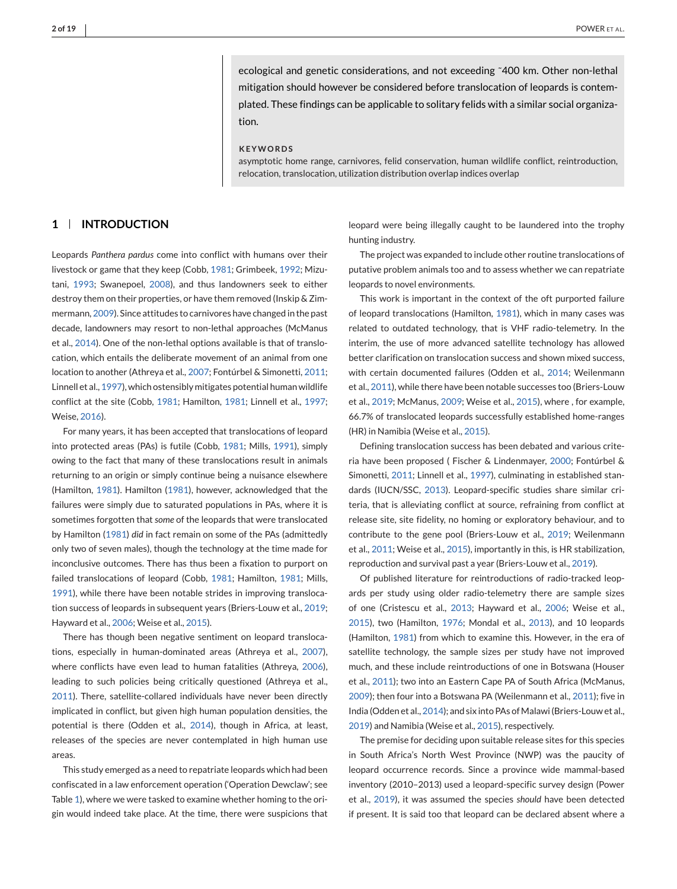ecological and genetic considerations, and not exceeding ˜400 km. Other non-lethal mitigation should however be considered before translocation of leopards is contemplated. These findings can be applicable to solitary felids with a similar social organization.

#### **KEYWORDS**

asymptotic home range, carnivores, felid conservation, human wildlife conflict, reintroduction, relocation, translocation, utilization distribution overlap indices overlap

# **1 INTRODUCTION**

Leopards *Panthera pardus* come into conflict with humans over their livestock or game that they keep (Cobb, [1981;](#page-16-0) Grimbeek, [1992;](#page-16-0) Mizutani, [1993;](#page-17-0) Swanepoel, [2008\)](#page-17-0), and thus landowners seek to either destroy them on their properties, or have them removed (Inskip & Zimmermann, [2009\)](#page-17-0). Since attitudes to carnivores have changed in the past decade, landowners may resort to non-lethal approaches (McManus et al., [2014\)](#page-17-0). One of the non-lethal options available is that of translocation, which entails the deliberate movement of an animal from one location to another (Athreya et al., [2007;](#page-16-0) Fontúrbel & Simonetti, [2011;](#page-16-0) Linnell et al., [1997\)](#page-17-0), which ostensibly mitigates potential human wildlife conflict at the site (Cobb, [1981;](#page-16-0) Hamilton, [1981;](#page-16-0) Linnell et al., [1997;](#page-17-0) Weise, [2016\)](#page-17-0).

For many years, it has been accepted that translocations of leopard into protected areas (PAs) is futile (Cobb, [1981;](#page-16-0) Mills, [1991\)](#page-17-0), simply owing to the fact that many of these translocations result in animals returning to an origin or simply continue being a nuisance elsewhere (Hamilton, [1981\)](#page-16-0). Hamilton [\(1981\)](#page-16-0), however, acknowledged that the failures were simply due to saturated populations in PAs, where it is sometimes forgotten that *some* of the leopards that were translocated by Hamilton [\(1981\)](#page-16-0) *did* in fact remain on some of the PAs (admittedly only two of seven males), though the technology at the time made for inconclusive outcomes. There has thus been a fixation to purport on failed translocations of leopard (Cobb, [1981;](#page-16-0) Hamilton, [1981;](#page-16-0) Mills, [1991\)](#page-17-0), while there have been notable strides in improving translocation success of leopards in subsequent years (Briers-Louw et al., [2019;](#page-16-0) Hayward et al., [2006;](#page-16-0) Weise et al., [2015\)](#page-18-0).

There has though been negative sentiment on leopard translocations, especially in human-dominated areas (Athreya et al., [2007\)](#page-16-0), where conflicts have even lead to human fatalities (Athreya, [2006\)](#page-16-0), leading to such policies being critically questioned (Athreya et al., [2011\)](#page-16-0). There, satellite-collared individuals have never been directly implicated in conflict, but given high human population densities, the potential is there (Odden et al., [2014\)](#page-17-0), though in Africa, at least, releases of the species are never contemplated in high human use areas.

This study emerged as a need to repatriate leopards which had been confiscated in a law enforcement operation ('Operation Dewclaw'; see Table [1\)](#page-2-0), where we were tasked to examine whether homing to the origin would indeed take place. At the time, there were suspicions that

leopard were being illegally caught to be laundered into the trophy hunting industry.

The project was expanded to include other routine translocations of putative problem animals too and to assess whether we can repatriate leopards to novel environments.

This work is important in the context of the oft purported failure of leopard translocations (Hamilton, [1981\)](#page-16-0), which in many cases was related to outdated technology, that is VHF radio-telemetry. In the interim, the use of more advanced satellite technology has allowed better clarification on translocation success and shown mixed success, with certain documented failures (Odden et al., [2014;](#page-17-0) Weilenmann et al., [2011\)](#page-17-0), while there have been notable successes too (Briers-Louw et al., [2019;](#page-16-0) McManus, [2009;](#page-17-0) Weise et al., [2015\)](#page-18-0), where , for example, 66.7% of translocated leopards successfully established home-ranges (HR) in Namibia (Weise et al., [2015\)](#page-18-0).

Defining translocation success has been debated and various criteria have been proposed ( Fischer & Lindenmayer, [2000;](#page-16-0) Fontúrbel & Simonetti, [2011;](#page-16-0) Linnell et al., [1997\)](#page-17-0), culminating in established standards (IUCN/SSC, [2013\)](#page-17-0). Leopard-specific studies share similar criteria, that is alleviating conflict at source, refraining from conflict at release site, site fidelity, no homing or exploratory behaviour, and to contribute to the gene pool (Briers-Louw et al., [2019;](#page-16-0) Weilenmann et al., [2011;](#page-17-0) Weise et al., [2015\)](#page-18-0), importantly in this, is HR stabilization, reproduction and survival past a year (Briers-Louw et al., [2019\)](#page-16-0).

Of published literature for reintroductions of radio-tracked leopards per study using older radio-telemetry there are sample sizes of one (Cristescu et al., [2013;](#page-16-0) Hayward et al., [2006;](#page-16-0) Weise et al., [2015\)](#page-18-0), two (Hamilton, [1976;](#page-16-0) Mondal et al., [2013\)](#page-17-0), and 10 leopards (Hamilton, [1981\)](#page-16-0) from which to examine this. However, in the era of satellite technology, the sample sizes per study have not improved much, and these include reintroductions of one in Botswana (Houser et al., [2011\)](#page-17-0); two into an Eastern Cape PA of South Africa (McManus, [2009\)](#page-17-0); then four into a Botswana PA (Weilenmann et al., [2011\)](#page-17-0); five in India (Odden et al., [2014\)](#page-17-0); and six into PAs of Malawi (Briers-Louw et al., [2019\)](#page-16-0) and Namibia (Weise et al., [2015\)](#page-18-0), respectively.

The premise for deciding upon suitable release sites for this species in South Africa's North West Province (NWP) was the paucity of leopard occurrence records. Since a province wide mammal-based inventory (2010–2013) used a leopard-specific survey design (Power et al., [2019\)](#page-17-0), it was assumed the species *should* have been detected if present. It is said too that leopard can be declared absent where a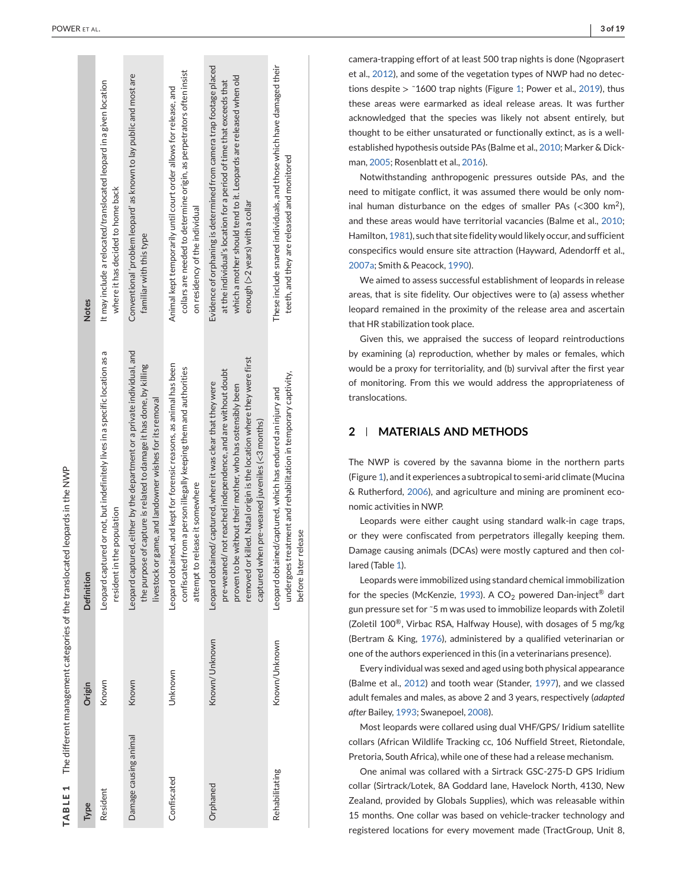<span id="page-2-0"></span>

|                                                                             | <b>Notes</b> | It may include a relocated/translocated leopard in a given location<br>where it has decided to home back  | Conventional 'problem leopard' as known to lay public and most are<br>familiar with this type                                                                                                                | collars are needed to determine origin, as perpetrators often insist<br>Animal kept temporarily until court order allows for release, and<br>on residency of the individual | Evidence of orphaning is determined from camera trap footage placed<br>which a mother should tend to it. Leopards are released when old<br>at the individual's location for a period of time that exceeds that<br>enough (>2 years) with a collar                                                                         | These include snared individuals, and those which have damaged their<br>teeth, and they are released and monitored                                   |
|-----------------------------------------------------------------------------|--------------|-----------------------------------------------------------------------------------------------------------|--------------------------------------------------------------------------------------------------------------------------------------------------------------------------------------------------------------|-----------------------------------------------------------------------------------------------------------------------------------------------------------------------------|---------------------------------------------------------------------------------------------------------------------------------------------------------------------------------------------------------------------------------------------------------------------------------------------------------------------------|------------------------------------------------------------------------------------------------------------------------------------------------------|
| The different management categories of the translocated leopards in the NWP | Definition   | Leopard captured or not, but indefinitely lives in a specific location as a<br>resident in the population | Leopard captured, either by the department or a private individual, and<br>the purpose of capture is related to damage it has done, by killing<br>or game, and landowner wishes for its removal<br>livestock | Leopard obtained, and kept for forensic reasons, as animal has been<br>confiscated from a person illegally keeping them and authorities<br>attempt to release it somewhere  | or killed. Natal origin is the location where they were first<br>pre-weaned/not reached independence, and are without doubt<br>Leopard obtained/captured, where it was clear that they were<br>proven to be without their mother, who has ostensibly been<br>captured when pre-weaned juveniles $(<$ 3 months)<br>removed | undergoes treatment and rehabilitation in temporary captivity,<br>Leopard obtained/captured, which has endured an injury and<br>before later release |
|                                                                             | Origin       | Known                                                                                                     | Known                                                                                                                                                                                                        | Unknown                                                                                                                                                                     | Known/Unknown                                                                                                                                                                                                                                                                                                             | Known/Unknown                                                                                                                                        |
| TABLE 1                                                                     | Type         | Resident                                                                                                  | Damage causing animal                                                                                                                                                                                        | Confiscated                                                                                                                                                                 | Orphaned                                                                                                                                                                                                                                                                                                                  | Rehabilitating                                                                                                                                       |

. **3 of 19**  $\vert$  3 of 19

camera-trapping effort of at least 500 trap nights is done (Ngoprasert et al., [2012\)](#page-17-0), and some of the vegetation types of NWP had no detections despite  $>$  ~1600 trap nights (Figure [1;](#page-3-0) Power et al., [2019\)](#page-17-0), thus these areas were earmarked as ideal release areas. It was further acknowledged that the species was likely not absent entirely, but thought to be either unsaturated or functionally extinct, as is a wellestablished hypothesis outside PAs (Balme et al., [2010;](#page-16-0) Marker & Dickman, [2005;](#page-17-0) Rosenblatt et al., [2016\)](#page-17-0).

Notwithstanding anthropogenic pressures outside PAs, and the need to mitigate conflict, it was assumed there would be only nominal human disturbance on the edges of smaller PAs  $\langle$ <300 km<sup>2</sup>), and these areas would have territorial vacancies (Balme et al., [2010](#page-16-0) ; Hamilton, [1981\)](#page-16-0), such that site fidelity would likely occur, and sufficient conspecifics would ensure site attraction (Hayward, Adendorff et al., [2007a;](#page-16-0) Smith & Peacock, [1990\)](#page-17-0).

We aimed to assess successful establishment of leopards in release areas, that is site fidelity. Our objectives were to (a) assess whether leopard remained in the proximity of the release area and ascertain that HR stabilization took place.

Given this, we appraised the success of leopard reintroductions by examining (a) reproduction, whether by males or females, which would be a proxy for territoriality, and (b) survival after the first year of monitoring. From this we would address the appropriateness of translocations.

# **2 MATERIALS AND METHODS**

The NWP is covered by the savanna biome in the northern parts (Figure [1\)](#page-3-0), and it experiences a subtropical to semi-arid climate (Mucina & Rutherford, [2006\)](#page-17-0), and agriculture and mining are prominent economic activities in NWP.

Leopards were either caught using standard walk-in cage traps, or they were confiscated from perpetrators illegally keeping them. Damage causing animals (DCAs) were mostly captured and then collared (Table 1).

Leopards were immobilized using standard chemical immobilization for the species (McKenzie, [1993\)](#page-17-0). A CO $_2$  powered Dan-inject $^\circledR$  dart gun pressure set for ˜5 m was used to immobilize leopards with Zoletil (Zoletil 100<sup>®</sup>, Virbac RSA, Halfway House), with dosages of 5 mg/kg (Bertram & King, [1976\)](#page-16-0), administered by a qualified veterinarian or one of the authors experienced in this (in a veterinarians presence).

Every individual was sexed and aged using both physical appearance (Balme et al., [2012\)](#page-16-0) and tooth wear (Stander, [1997\)](#page-17-0), and we classed adult females and males, as above 2 and 3 years, respectively (*adapted after* Bailey, [1993;](#page-16-0) Swanepoel, [2008\)](#page-17-0).

Most leopards were collared using dual VHF/GPS/ Iridium satellite collars (African Wildlife Tracking cc, 106 Nuffield Street, Rietondale, Pretoria, South Africa), while one of these had a release mechanism.

One animal was collared with a Sirtrack GSC-275-D GPS Iridium collar (Sirtrack/Lotek, 8A Goddard lane, Havelock North, 4130, New Zealand, provided by Globals Supplies), which was releasable within 15 months. One collar was based on vehicle-tracker technology and registered locations for every movement made (TractGroup, Unit 8,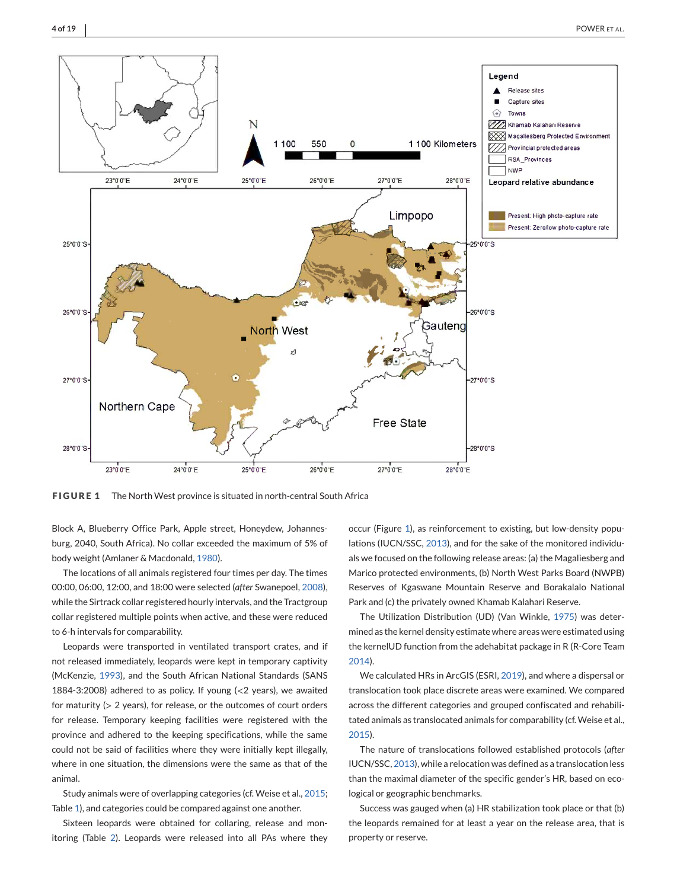<span id="page-3-0"></span>

**FIGURE 1** The North West province is situated in north-central South Africa

Block A, Blueberry Office Park, Apple street, Honeydew, Johannesburg, 2040, South Africa). No collar exceeded the maximum of 5% of body weight (Amlaner & Macdonald, [1980\)](#page-16-0).

The locations of all animals registered four times per day. The times 00:00, 06:00, 12:00, and 18:00 were selected (*after* Swanepoel, [2008\)](#page-17-0), while the Sirtrack collar registered hourly intervals, and the Tractgroup collar registered multiple points when active, and these were reduced to 6-h intervals for comparability.

Leopards were transported in ventilated transport crates, and if not released immediately, leopards were kept in temporary captivity (McKenzie, [1993\)](#page-17-0), and the South African National Standards (SANS 1884-3:2008) adhered to as policy. If young  $\langle$  <2 years), we awaited for maturity (> 2 years), for release, or the outcomes of court orders for release. Temporary keeping facilities were registered with the province and adhered to the keeping specifications, while the same could not be said of facilities where they were initially kept illegally, where in one situation, the dimensions were the same as that of the animal.

Study animals were of overlapping categories (cf. Weise et al., [2015;](#page-18-0) Table [1\)](#page-2-0), and categories could be compared against one another.

Sixteen leopards were obtained for collaring, release and monitoring (Table [2\)](#page-5-0). Leopards were released into all PAs where they

occur (Figure 1), as reinforcement to existing, but low-density populations (IUCN/SSC, [2013\)](#page-17-0), and for the sake of the monitored individuals we focused on the following release areas: (a) the Magaliesberg and Marico protected environments, (b) North West Parks Board (NWPB) Reserves of Kgaswane Mountain Reserve and Borakalalo National Park and (c) the privately owned Khamab Kalahari Reserve.

The Utilization Distribution (UD) (Van Winkle, [1975\)](#page-17-0) was determined as the kernel density estimate where areas were estimated using the kernelUD function from the adehabitat package in R (R-Core Team [2014\)](#page-17-0).

We calculated HRs in ArcGIS (ESRI, [2019\)](#page-16-0), and where a dispersal or translocation took place discrete areas were examined. We compared across the different categories and grouped confiscated and rehabilitated animals as translocated animals for comparability (cf.Weise et al., [2015\)](#page-18-0).

The nature of translocations followed established protocols (*after* IUCN/SSC, [2013\)](#page-17-0), while a relocation was defined as a translocation less than the maximal diameter of the specific gender's HR, based on ecological or geographic benchmarks.

Success was gauged when (a) HR stabilization took place or that (b) the leopards remained for at least a year on the release area, that is property or reserve.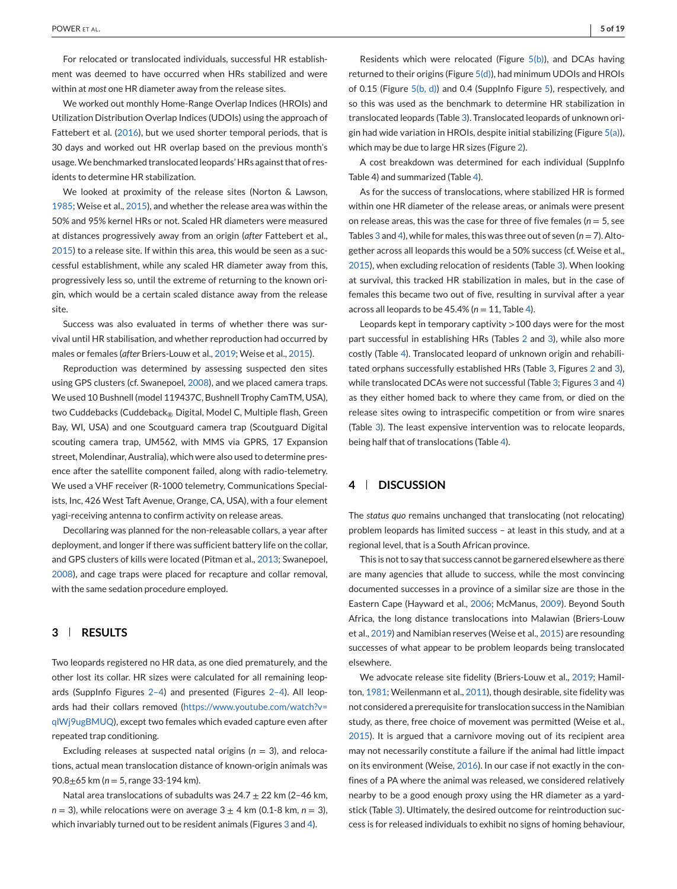For relocated or translocated individuals, successful HR establishment was deemed to have occurred when HRs stabilized and were within at *most* one HR diameter away from the release sites.

We worked out monthly Home-Range Overlap Indices (HROIs) and Utilization Distribution Overlap Indices (UDOIs) using the approach of Fattebert et al. [\(2016\)](#page-16-0), but we used shorter temporal periods, that is 30 days and worked out HR overlap based on the previous month's usage.We benchmarked translocated leopards' HRs against that of residents to determine HR stabilization.

We looked at proximity of the release sites (Norton & Lawson, [1985;](#page-17-0) Weise et al., [2015\)](#page-18-0), and whether the release area was within the 50% and 95% kernel HRs or not. Scaled HR diameters were measured at distances progressively away from an origin (*after* Fattebert et al., [2015\)](#page-16-0) to a release site. If within this area, this would be seen as a successful establishment, while any scaled HR diameter away from this, progressively less so, until the extreme of returning to the known origin, which would be a certain scaled distance away from the release site.

Success was also evaluated in terms of whether there was survival until HR stabilisation, and whether reproduction had occurred by males or females (*after* Briers-Louw et al., [2019;](#page-16-0) Weise et al., [2015\)](#page-18-0).

Reproduction was determined by assessing suspected den sites using GPS clusters (cf. Swanepoel, [2008\)](#page-17-0), and we placed camera traps. We used 10 Bushnell (model 119437C, Bushnell Trophy CamTM, USA), two Cuddebacks (Cuddeback® Digital, Model C, Multiple flash, Green Bay, WI, USA) and one Scoutguard camera trap (Scoutguard Digital scouting camera trap, UM562, with MMS via GPRS, 17 Expansion street, Molendinar, Australia), which were also used to determine presence after the satellite component failed, along with radio-telemetry. We used a VHF receiver (R-1000 telemetry, Communications Specialists, Inc, 426 West Taft Avenue, Orange, CA, USA), with a four element yagi-receiving antenna to confirm activity on release areas.

Decollaring was planned for the non-releasable collars, a year after deployment, and longer if there was sufficient battery life on the collar, and GPS clusters of kills were located (Pitman et al., [2013;](#page-17-0) Swanepoel, [2008\)](#page-17-0), and cage traps were placed for recapture and collar removal, with the same sedation procedure employed.

# **3 RESULTS**

Two leopards registered no HR data, as one died prematurely, and the other lost its collar. HR sizes were calculated for all remaining leopards (SuppInfo Figures [2–4\)](#page-6-0) and presented (Figures [2–4\)](#page-6-0). All leopards had their collars removed [\(https://www.youtube.com/watch?v=](https://www.youtube.com/watch?v=qlWj9ugBMUQ) [qlWj9ugBMUQ\)](https://www.youtube.com/watch?v=qlWj9ugBMUQ), except two females which evaded capture even after repeated trap conditioning.

Excluding releases at suspected natal origins ( $n = 3$ ), and relocations, actual mean translocation distance of known-origin animals was 90.8±65 km (*n* = 5, range 33-194 km).

Natal area translocations of subadults was  $24.7 \pm 22$  km (2-46 km,  $n = 3$ ), while relocations were on average  $3 \pm 4$  km (0.1-8 km,  $n = 3$ ), which invariably turned out to be resident animals (Figures [3](#page-8-0) and [4\)](#page-10-0).

Residents which were relocated (Figure [5\(b\)\)](#page-14-0), and DCAs having returned to their origins (Figure  $5(d)$ ), had minimum UDOIs and HROIs of 0.15 (Figure [5\(b, d\)\)](#page-14-0) and 0.4 (SuppInfo Figure [5\)](#page-14-0), respectively, and so this was used as the benchmark to determine HR stabilization in translocated leopards (Table [3\)](#page-12-0). Translocated leopards of unknown origin had wide variation in HROIs, despite initial stabilizing (Figure  $5(a)$ ), which may be due to large HR sizes (Figure [2\)](#page-6-0).

A cost breakdown was determined for each individual (SuppInfo Table 4) and summarized (Table [4\)](#page-13-0).

As for the success of translocations, where stabilized HR is formed within one HR diameter of the release areas, or animals were present on release areas, this was the case for three of five females ( $n = 5$ , see Tables [3](#page-12-0) and [4\)](#page-13-0), while for males, this was three out of seven  $(n = 7)$ . Altogether across all leopards this would be a 50% success (cf. Weise et al., [2015\)](#page-18-0), when excluding relocation of residents (Table [3\)](#page-12-0). When looking at survival, this tracked HR stabilization in males, but in the case of females this became two out of five, resulting in survival after a year across all leopards to be  $45.4\%$  ( $n = 11$ , Table [4\)](#page-13-0).

Leopards kept in temporary captivity >100 days were for the most part successful in establishing HRs (Tables [2](#page-5-0) and [3\)](#page-12-0), while also more costly (Table [4\)](#page-13-0). Translocated leopard of unknown origin and rehabilitated orphans successfully established HRs (Table [3,](#page-12-0) Figures [2](#page-6-0) and [3\)](#page-8-0), while translocated DCAs were not successful (Table [3;](#page-12-0) Figures [3](#page-8-0) and [4\)](#page-10-0) as they either homed back to where they came from, or died on the release sites owing to intraspecific competition or from wire snares (Table [3\)](#page-12-0). The least expensive intervention was to relocate leopards, being half that of translocations (Table [4\)](#page-13-0).

# **4 DISCUSSION**

The *status quo* remains unchanged that translocating (not relocating) problem leopards has limited success – at least in this study, and at a regional level, that is a South African province.

This is not to say that success cannot be garnered elsewhere as there are many agencies that allude to success, while the most convincing documented successes in a province of a similar size are those in the Eastern Cape (Hayward et al., [2006;](#page-16-0) McManus, [2009\)](#page-17-0). Beyond South Africa, the long distance translocations into Malawian (Briers-Louw et al., [2019\)](#page-16-0) and Namibian reserves (Weise et al., [2015\)](#page-18-0) are resounding successes of what appear to be problem leopards being translocated elsewhere.

We advocate release site fidelity (Briers-Louw et al., [2019;](#page-16-0) Hamilton, [1981;](#page-16-0) Weilenmann et al., [2011\)](#page-17-0), though desirable, site fidelity was not considered a prerequisite for translocation success in the Namibian study, as there, free choice of movement was permitted (Weise et al., [2015\)](#page-18-0). It is argued that a carnivore moving out of its recipient area may not necessarily constitute a failure if the animal had little impact on its environment (Weise, [2016\)](#page-17-0). In our case if not exactly in the confines of a PA where the animal was released, we considered relatively nearby to be a good enough proxy using the HR diameter as a yardstick (Table [3\)](#page-12-0). Ultimately, the desired outcome for reintroduction success is for released individuals to exhibit no signs of homing behaviour,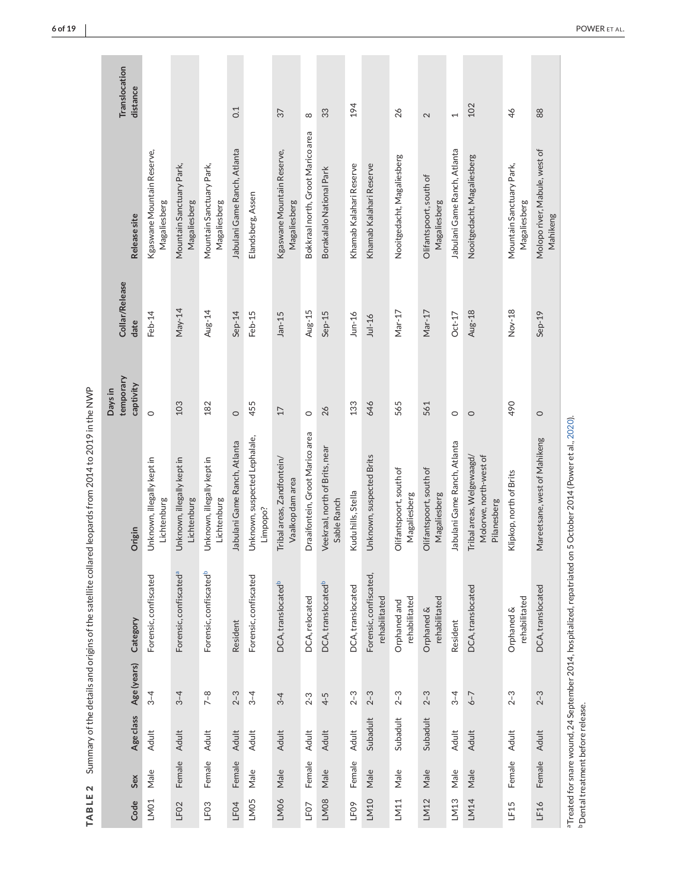| I                                                     |
|-------------------------------------------------------|
|                                                       |
|                                                       |
|                                                       |
|                                                       |
|                                                       |
|                                                       |
| ،<br>،                                                |
|                                                       |
|                                                       |
|                                                       |
| ֕                                                     |
|                                                       |
| י                                                     |
|                                                       |
| Í                                                     |
|                                                       |
|                                                       |
|                                                       |
|                                                       |
|                                                       |
|                                                       |
|                                                       |
|                                                       |
|                                                       |
|                                                       |
|                                                       |
|                                                       |
|                                                       |
|                                                       |
|                                                       |
|                                                       |
|                                                       |
|                                                       |
|                                                       |
| ١                                                     |
|                                                       |
|                                                       |
|                                                       |
|                                                       |
|                                                       |
|                                                       |
|                                                       |
|                                                       |
| ļ                                                     |
|                                                       |
|                                                       |
|                                                       |
|                                                       |
|                                                       |
| $\overline{6}$                                        |
|                                                       |
|                                                       |
| I<br>١                                                |
| Į                                                     |
| j<br>Ì                                                |
| ֧֧֧֧֧֧֚֚֚֚֚֚֚֚֚֚֚֚֚֚֚֚֚֚֚֚֚֚֚֚֚֚֝֬֝֓֝֓֝֓֝֓֝<br>í<br>I |
| ı                                                     |
|                                                       |

<span id="page-5-0"></span>

|                  |        |                                         |             |                                         |                                                                                                                 | Days in                |                        |                                            |                           |
|------------------|--------|-----------------------------------------|-------------|-----------------------------------------|-----------------------------------------------------------------------------------------------------------------|------------------------|------------------------|--------------------------------------------|---------------------------|
| Code             | Sex    | Age class                               | Age (years) | Category                                | Origin                                                                                                          | temporary<br>captivity | Collar/Release<br>date | Release site                               | Translocation<br>distance |
| LM01             | Male   | Adult                                   | $3 - 4$     | Forensic, confiscated                   | Unknown, illegally kept in<br>Lichtenburg                                                                       | $\circ$                | Feb-14                 | Kgaswane Mountain Reserve,<br>Magaliesberg |                           |
| LF <sub>02</sub> | Female | Adult                                   | $3 - 4$     | Forensic, confiscated <sup>a</sup>      | Unknown, illegally kept in<br>Lichtenburg                                                                       | 103                    | $May-14$               | Mountain Sanctuary Park,<br>Magaliesberg   |                           |
| LF <sub>03</sub> | Female | Adult                                   | $7 - 8$     | Forensic, confiscated <sup>b</sup>      | Unknown, illegally kept in<br>Lichtenburg                                                                       | 182                    | Aug-14                 | Mountain Sanctuary Park,<br>Magaliesberg   |                           |
| LF04             | Female | Adult                                   | $2 - 3$     | Resident                                | Jabulani Game Ranch, Atlanta                                                                                    | $\circ$                | Sep-14                 | Jabulani Game Ranch, Atlanta               | 0.1                       |
| LM05             | Male   | Adult                                   | $3 - 4$     | Forensic, confiscated                   | Unknown, suspected Lephalale,<br>Limpopo?                                                                       | 455                    | Feb-15                 | Elandsberg, Assen                          |                           |
| LM06             | Male   | Adult                                   | $3 - 4$     | DCA, translocated <sup>b</sup>          | Tribal areas, Zandfontein/<br>Vaalkop dam area                                                                  | $\overline{17}$        | $Jan-15$               | Kgaswane Mountain Reserve,<br>Magaliesberg | 37                        |
| LF07             | Female | Adult                                   | $2 - 3$     | DCA, relocated                          | Draaifontein, Groot Marico area                                                                                 | $\circ$                | Aug-15                 | Bokkraal north, Groot Marico area          | $\infty$                  |
| LM08             | Male   | Adult                                   | $4 - 5$     | DCA, translocated <sup>b</sup>          | Veekraal, north of Brits, near<br>Sable Ranch                                                                   | 26                     | Sep-15                 | Borakalalo National Park                   | 33                        |
| LFO9             | Female | Adult                                   | $2 - 3$     | DCA, translocated                       | Kudu hills, Stella                                                                                              | 133                    | $J$ un-16              | Khamab Kalahari Reserve                    | 194                       |
| LM10             | Male   | Subadult                                | $2 - 3$     | Forensic, confiscated,<br>rehabilitated | Unknown, suspected Brits                                                                                        | 646                    | $Jul-16$               | Khamab Kalahari Reserve                    |                           |
| LM11             | Male   | Subadult                                | $2 - 3$     | rehabilitated<br>Orphaned and           | Olifantspoort, south of<br>Magaliesberg                                                                         | 565                    | Mar-17                 | Nooitgedacht, Magaliesberg                 | 26                        |
| LM12             | Male   | Subadult                                | $2 - 3$     | rehabilitated<br>Orphaned &             | Olifantspoort, south of<br>Magaliesberg                                                                         | 561                    | Mar-17                 | Olifantspoort, south of<br>Magaliesberg    | 2                         |
| LM13             | Male   | Adult                                   | $3 - 4$     | Resident                                | Jabulani Game Ranch, Atlanta                                                                                    | $\circ$                | $Oct-17$               | Jabulani Game Ranch, Atlanta               | $\overline{ }$            |
| LM14             | Male   | Adult                                   | $6 - 7$     | DCA, translocated                       | Tribal areas, Welgewaagd/<br>Molorwe, north-west of<br>Pilanesberg                                              | $\circ$                | Aug-18                 | Nooitgedacht, Magaliesberg                 | 102                       |
| LF15             | Female | Adult                                   | $2 - 3$     | rehabilitated<br>Orphaned &             | Klipkop, north of Brits                                                                                         | 490                    | Nov-18                 | Mountain Sanctuary Park,<br>Magaliesberg   | 46                        |
| LF16             | Female | Adult                                   | $2 - 3$     | DCA, translocated                       | Mareetsane, west of Mahikeng                                                                                    | $\circ$                | $Sep-19$               | Molopo river, Mabule, west of<br>Mahikeng  | 88                        |
|                  |        | <b>Dental treatment before release.</b> |             |                                         | a Treated for snare wound, 24 September 2014, hospitalized, repatriated on 5 October 2014 (Power et al., 2020). |                        |                        |                                            |                           |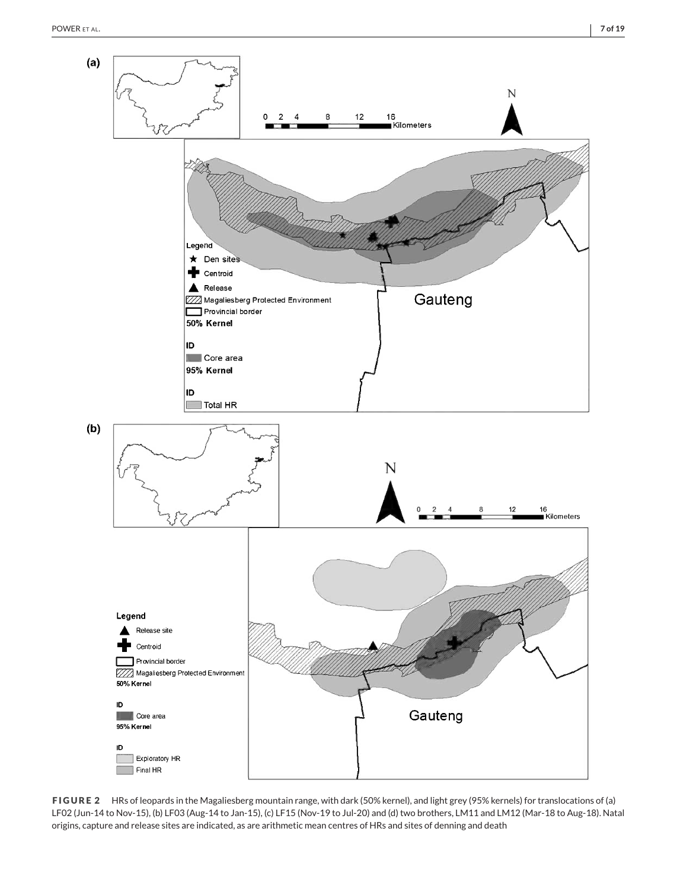<span id="page-6-0"></span>

**FIGURE 2** HRs of leopards in the Magaliesberg mountain range, with dark (50% kernel), and light grey (95% kernels) for translocations of (a) LF02 (Jun-14 to Nov-15), (b) LF03 (Aug-14 to Jan-15), (c) LF15 (Nov-19 to Jul-20) and (d) two brothers, LM11 and LM12 (Mar-18 to Aug-18). Natal origins, capture and release sites are indicated, as are arithmetic mean centres of HRs and sites of denning and death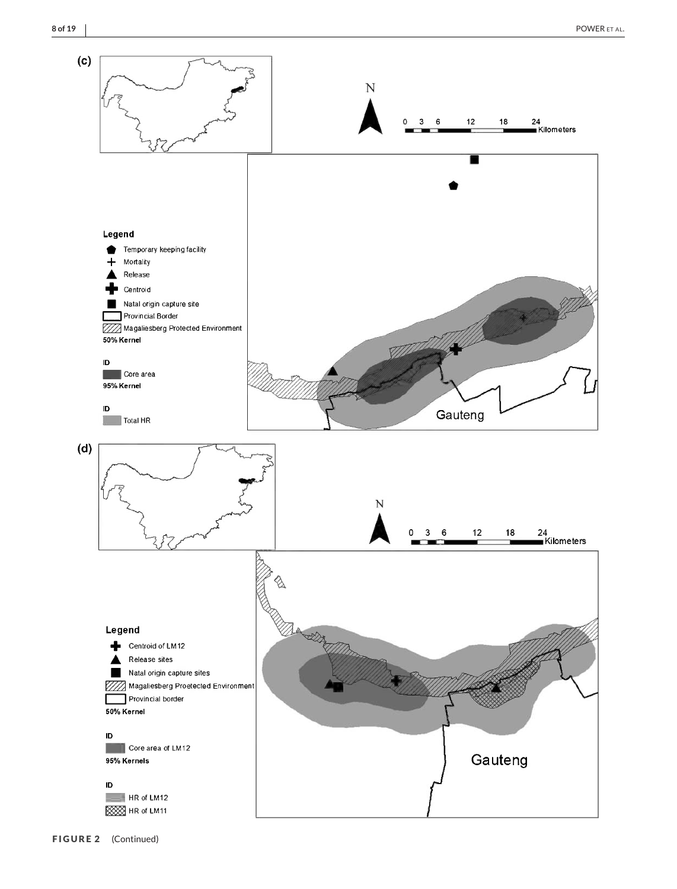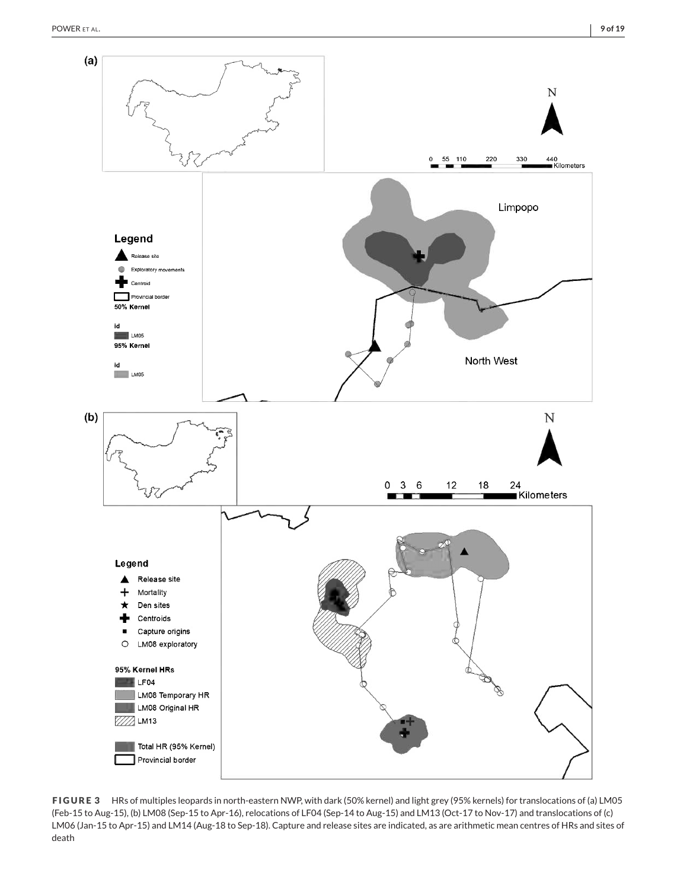<span id="page-8-0"></span>

**FIGURE 3** HRs of multiples leopards in north-eastern NWP, with dark (50% kernel) and light grey (95% kernels) for translocations of (a) LM05 (Feb-15 to Aug-15), (b) LM08 (Sep-15 to Apr-16), relocations of LF04 (Sep-14 to Aug-15) and LM13 (Oct-17 to Nov-17) and translocations of (c) LM06 (Jan-15 to Apr-15) and LM14 (Aug-18 to Sep-18). Capture and release sites are indicated, as are arithmetic mean centres of HRs and sites of death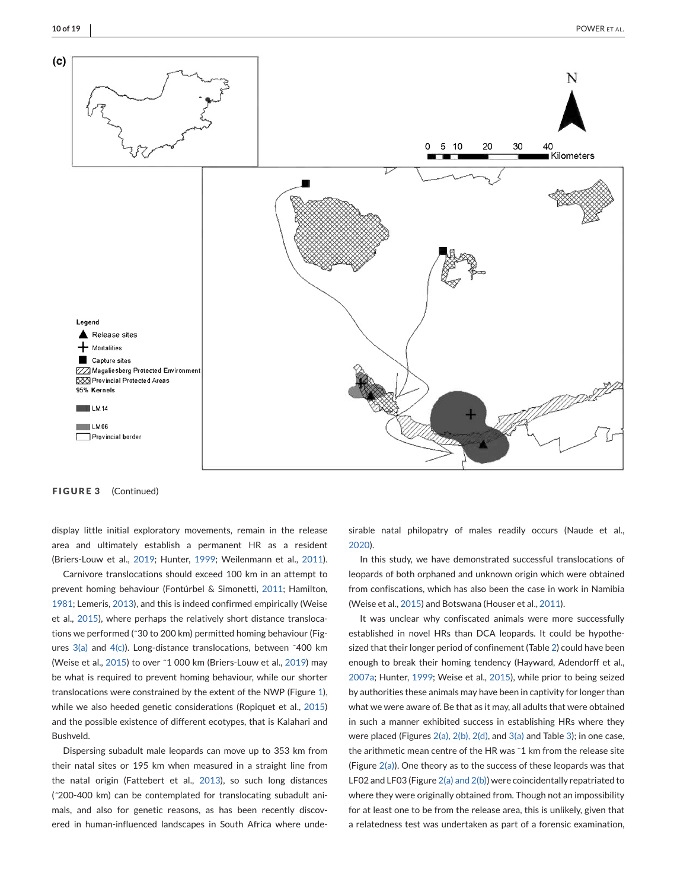

**FIGURE 3** (Continued)

display little initial exploratory movements, remain in the release area and ultimately establish a permanent HR as a resident (Briers-Louw et al., [2019;](#page-16-0) Hunter, [1999;](#page-17-0) Weilenmann et al., [2011\)](#page-17-0).

Carnivore translocations should exceed 100 km in an attempt to prevent homing behaviour (Fontúrbel & Simonetti, [2011;](#page-16-0) Hamilton, [1981;](#page-16-0) Lemeris, [2013\)](#page-17-0), and this is indeed confirmed empirically (Weise et al., [2015\)](#page-18-0), where perhaps the relatively short distance translocations we performed (˜30 to 200 km) permitted homing behaviour (Figures  $3(a)$  and  $4(c)$ ). Long-distance translocations, between ~400 km (Weise et al., [2015\)](#page-18-0) to over ˜1 000 km (Briers-Louw et al., [2019\)](#page-16-0) may be what is required to prevent homing behaviour, while our shorter translocations were constrained by the extent of the NWP (Figure [1\)](#page-3-0), while we also heeded genetic considerations (Ropiquet et al., [2015\)](#page-17-0) and the possible existence of different ecotypes, that is Kalahari and Bushveld.

Dispersing subadult male leopards can move up to 353 km from their natal sites or 195 km when measured in a straight line from the natal origin (Fattebert et al., [2013\)](#page-16-0), so such long distances (*˜*200-400 km) can be contemplated for translocating subadult animals, and also for genetic reasons, as has been recently discovered in human-influenced landscapes in South Africa where undesirable natal philopatry of males readily occurs (Naude et al., [2020\)](#page-17-0).

In this study, we have demonstrated successful translocations of leopards of both orphaned and unknown origin which were obtained from confiscations, which has also been the case in work in Namibia (Weise et al., [2015\)](#page-18-0) and Botswana (Houser et al., [2011\)](#page-17-0).

It was unclear why confiscated animals were more successfully established in novel HRs than DCA leopards. It could be hypothesized that their longer period of confinement (Table [2\)](#page-5-0) could have been enough to break their homing tendency (Hayward, Adendorff et al., [2007a;](#page-16-0) Hunter, [1999;](#page-17-0) Weise et al., [2015\)](#page-18-0), while prior to being seized by authorities these animals may have been in captivity for longer than what we were aware of. Be that as it may, all adults that were obtained in such a manner exhibited success in establishing HRs where they were placed (Figures  $2(a)$ ,  $2(b)$ ,  $2(d)$ , and  $3(a)$  and Table [3\)](#page-12-0); in one case, the arithmetic mean centre of the HR was ~1 km from the release site (Figure  $2(a)$ ). One theory as to the success of these leopards was that LF02 and LF03 (Figure [2\(a\) and 2\(b\)\)](#page-6-0) were coincidentally repatriated to where they were originally obtained from. Though not an impossibility for at least one to be from the release area, this is unlikely, given that a relatedness test was undertaken as part of a forensic examination,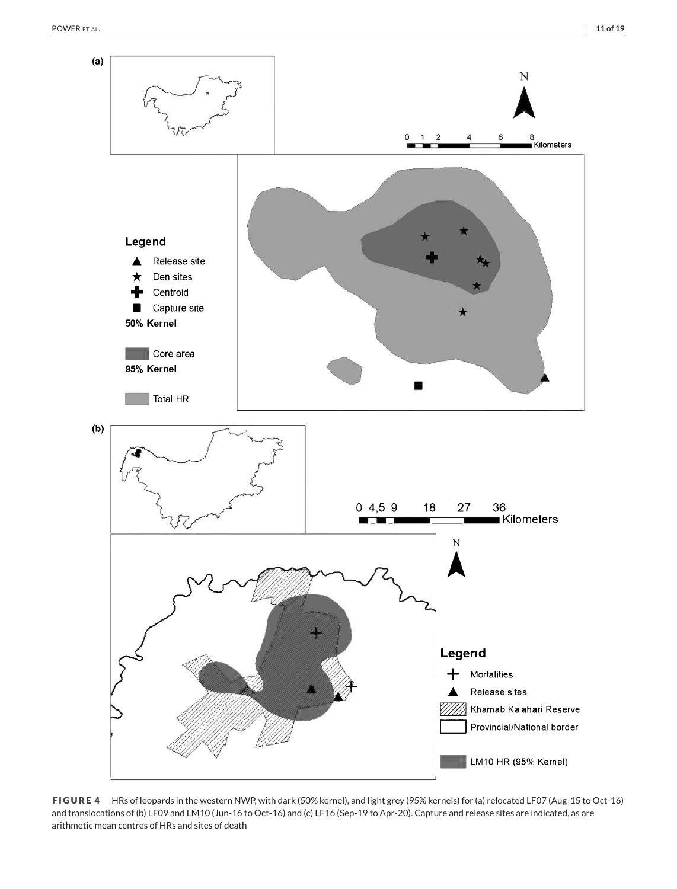<span id="page-10-0"></span>

**FIGURE 4** HRs of leopards in the western NWP, with dark (50% kernel), and light grey (95% kernels) for (a) relocated LF07 (Aug-15 to Oct-16) and translocations of (b) LF09 and LM10 (Jun-16 to Oct-16) and (c) LF16 (Sep-19 to Apr-20). Capture and release sites are indicated, as are arithmetic mean centres of HRs and sites of death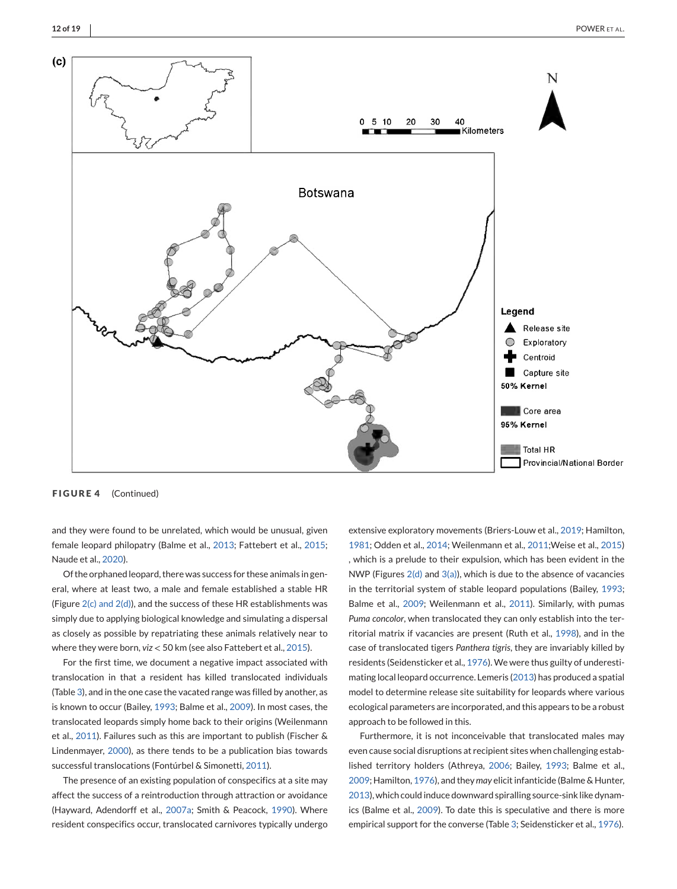

**FIGURE 4** (Continued)

and they were found to be unrelated, which would be unusual, given female leopard philopatry (Balme et al., [2013;](#page-16-0) Fattebert et al., [2015;](#page-16-0) Naude et al., [2020\)](#page-17-0).

Of the orphaned leopard, there was success for these animals in general, where at least two, a male and female established a stable HR (Figure  $2(c)$  and  $2(d)$ ), and the success of these HR establishments was simply due to applying biological knowledge and simulating a dispersal as closely as possible by repatriating these animals relatively near to where they were born, *viz* < 50 km (see also Fattebert et al., [2015\)](#page-16-0).

For the first time, we document a negative impact associated with translocation in that a resident has killed translocated individuals (Table [3\)](#page-12-0), and in the one case the vacated range was filled by another, as is known to occur (Bailey, [1993;](#page-16-0) Balme et al., [2009\)](#page-16-0). In most cases, the translocated leopards simply home back to their origins (Weilenmann et al., [2011\)](#page-17-0). Failures such as this are important to publish (Fischer & Lindenmayer, [2000\)](#page-16-0), as there tends to be a publication bias towards successful translocations (Fontúrbel & Simonetti, [2011\)](#page-16-0).

The presence of an existing population of conspecifics at a site may affect the success of a reintroduction through attraction or avoidance (Hayward, Adendorff et al., [2007a;](#page-16-0) Smith & Peacock, [1990\)](#page-17-0). Where resident conspecifics occur, translocated carnivores typically undergo

extensive exploratory movements (Briers-Louw et al., [2019;](#page-16-0) Hamilton, [1981;](#page-16-0) Odden et al., [2014;](#page-17-0) Weilenmann et al., [2011;](#page-17-0)Weise et al., [2015\)](#page-18-0) , which is a prelude to their expulsion, which has been evident in the NWP (Figures  $2(d)$  and  $3(a)$ ), which is due to the absence of vacancies in the territorial system of stable leopard populations (Bailey, [1993;](#page-16-0) Balme et al., [2009;](#page-16-0) Weilenmann et al., [2011\)](#page-17-0). Similarly, with pumas *Puma concolor*, when translocated they can only establish into the territorial matrix if vacancies are present (Ruth et al., [1998\)](#page-17-0), and in the case of translocated tigers *Panthera tigris*, they are invariably killed by residents (Seidensticker et al., [1976\)](#page-17-0). We were thus guilty of underestimating local leopard occurrence. Lemeris [\(2013\)](#page-17-0) has produced a spatial model to determine release site suitability for leopards where various ecological parameters are incorporated, and this appears to be a robust approach to be followed in this.

Furthermore, it is not inconceivable that translocated males may even cause social disruptions at recipient sites when challenging established territory holders (Athreya, [2006;](#page-16-0) Bailey, [1993;](#page-16-0) Balme et al., [2009;](#page-16-0) Hamilton, [1976\)](#page-16-0), and they *may* elicit infanticide (Balme & Hunter, [2013\)](#page-16-0), which could induce downward spiralling source-sink like dynamics (Balme et al., [2009\)](#page-16-0). To date this is speculative and there is more empirical support for the converse (Table [3;](#page-12-0) Seidensticker et al., [1976\)](#page-17-0).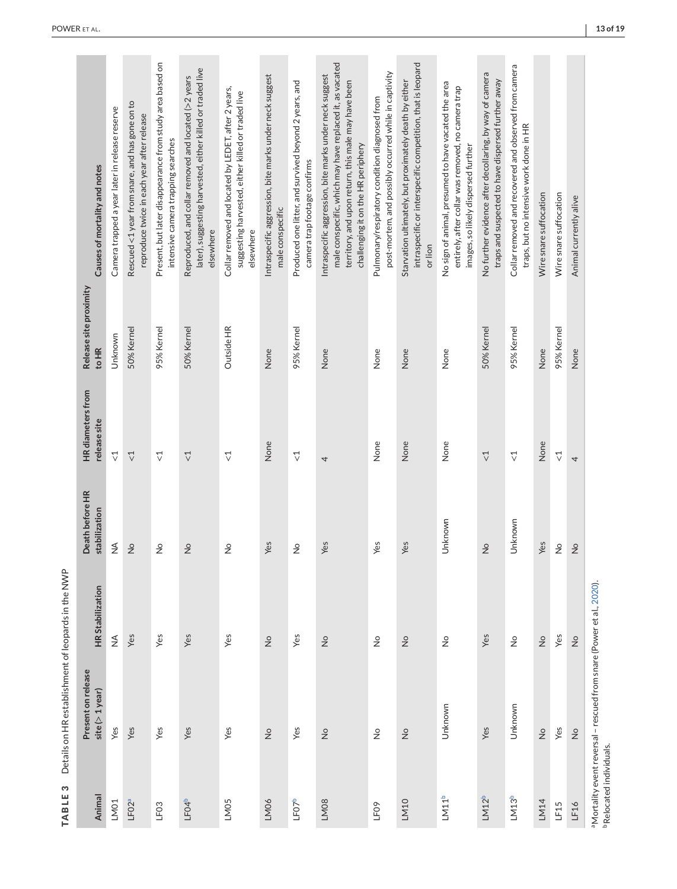<span id="page-12-0"></span>

| Animal            | Present on release<br>$site (> 1$ year)                                          | <b>HR Stabilization</b>          | Death before HR<br>stabilization | <b>HR</b> diameters from<br>release site   | Release site proximity<br>to HR | Causes of mortality and notes                                                                                                                                                                                    |
|-------------------|----------------------------------------------------------------------------------|----------------------------------|----------------------------------|--------------------------------------------|---------------------------------|------------------------------------------------------------------------------------------------------------------------------------------------------------------------------------------------------------------|
| LM01              | Yes                                                                              | $\stackrel{\triangleleft}{\geq}$ | $\lessgtr$                       | $\vec{\nabla}$                             | Unknown                         | Camera trapped a year later in release reserve                                                                                                                                                                   |
| LF02ª             | Yes                                                                              | Yes                              | $\frac{1}{2}$                    | $\overline{\vee}$                          | 50% Kernel                      | Rescued <1 year from snare, and has gone on to<br>reproduce twice in each year after release                                                                                                                     |
| LF <sub>03</sub>  | Yes                                                                              | Yes                              | $\frac{1}{2}$                    | $\vec{\nabla}$                             | 95% Kernel                      | Present, but later disappearance from study area based on<br>intensive camera trapping searches                                                                                                                  |
| LF04 <sup>b</sup> | Yes                                                                              | Yes                              | $\frac{1}{2}$                    | $\stackrel{\textstyle\sim}{\vee}$          | 50% Kernel                      | later), suggesting harvested, either killed or traded live<br>Reproduced, and collar removed and located (>2 years<br>elsewhere                                                                                  |
| LM05              | Yes                                                                              | Yes                              | $\frac{1}{2}$                    | $\vec{\nabla}$                             | Outside HR                      | Collar removed and located by LEDET, after 2 years,<br>suggesting harvested, either killed or traded live<br>elsewhere                                                                                           |
| LM06              | $\frac{1}{2}$                                                                    | $\frac{\circ}{Z}$                | Yes                              | None                                       | None                            | Intraspecific aggression, bite marks under neck suggest<br>male conspecific                                                                                                                                      |
| LF07b             | Yes                                                                              | Yes                              | $\frac{1}{2}$                    | $\vec{\nabla}$                             | 95% Kernel                      | Produced one litter, and survived beyond 2 years, and<br>camera trap footage confirms                                                                                                                            |
| LM08              | $\frac{1}{2}$                                                                    | $\frac{1}{2}$                    | Yes                              | 4                                          | None                            | male conspecific, which may have replaced it, as vacated<br>Intraspecific aggression, bite marks under neck suggest<br>territory, and upon return, this male may have been<br>challenging it on the HR periphery |
| LF09              | $\stackrel{\circ}{\simeq}$                                                       | $\stackrel{\circ}{\simeq}$       | Yes                              | None                                       | None                            | post-mortem, and possibly occurred while in captivity<br>Pulmonary/respiratory condition diagnosed from                                                                                                          |
| LM10              | $\frac{1}{2}$                                                                    | $\frac{1}{2}$                    | Yes                              | None                                       | None                            | intraspecific or interspecific competition, that is leopard<br>Starvation ultimately, but proximately death by either<br>or lion                                                                                 |
| LM11 <sup>b</sup> | Unknown                                                                          | $\frac{1}{2}$                    | Unknown                          | None                                       | None                            | No sign of animal, presumed to have vacated the area<br>entirely, after collar was removed, no camera trap<br>images, so likely dispersed further                                                                |
| LM12 <sup>b</sup> | Yes                                                                              | Yes                              | $\frac{1}{2}$                    | $\stackrel{\textstyle\triangleleft}{\vee}$ | 50% Kernel                      | No further evidence after decollaring, by way of camera<br>traps and suspected to have dispersed further away                                                                                                    |
| LM13 <sup>b</sup> | Unknown                                                                          | $\stackrel{\circ}{\simeq}$       | Unknown                          | $\vec{\mathcal{L}}$                        | 95% Kernel                      | Collar removed and recovered and observed from camera<br>traps, but no intensive work done in HR                                                                                                                 |
| LM14              | $\frac{1}{2}$                                                                    | $\stackrel{\circ}{\simeq}$       | Yes                              | None                                       | None                            | Wire snare suffocation                                                                                                                                                                                           |
| LF15              | Yes                                                                              | Yes                              | $\frac{1}{2}$                    | $\vec{\nabla}$                             | 95% Kernel                      | Wire snare suffocation                                                                                                                                                                                           |
| LF16              | $\frac{\circ}{2}$                                                                | $\stackrel{\circ}{\simeq}$       | $\frac{1}{2}$                    | 4                                          | None                            | Animal currently alive                                                                                                                                                                                           |
|                   | <sup>a</sup> Mortality event reversal - rescued from snare (Power et al., 2020). |                                  |                                  |                                            |                                 |                                                                                                                                                                                                                  |

TABLE 3 Details on HR establishment of leopards in the NWP **TABLE 3** Details on HR establishment of leopards in the NWP

**bRelocated individuals.** bRelocated individuals.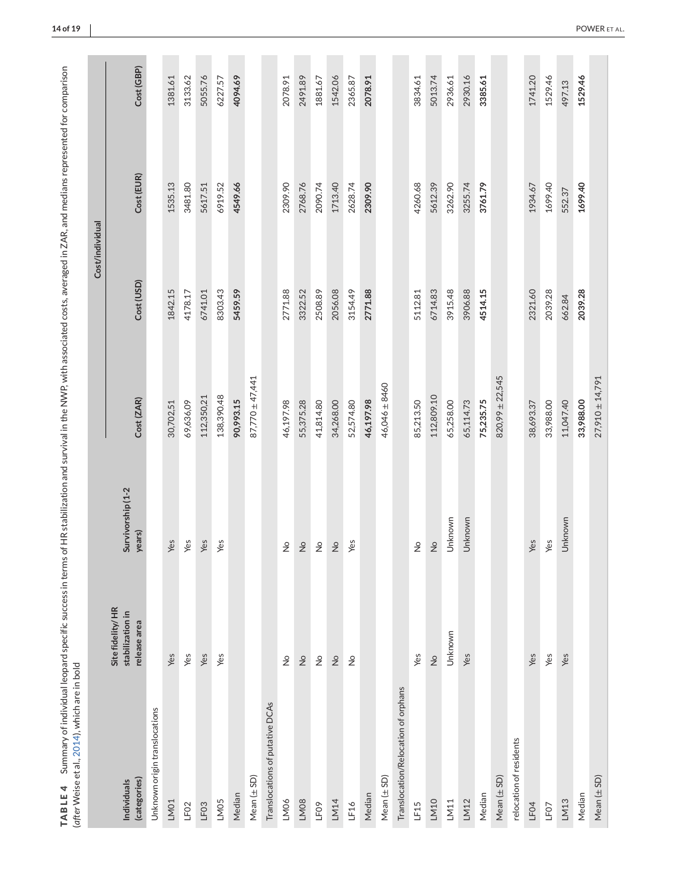|                                     |                                                      |                             |                     | Cost/individual |            |            |
|-------------------------------------|------------------------------------------------------|-----------------------------|---------------------|-----------------|------------|------------|
| (categories)<br>Individuals         | Site fidelity/HR<br>stabilization in<br>release area | Survivorship (1-2<br>years) | Cost (ZAR)          | Cost (USD)      | Cost (EUR) | Cost (GBP) |
| Unknown origin translocations       |                                                      |                             |                     |                 |            |            |
| LM01                                | Yes                                                  | Yes                         | 30,702,51           | 1842.15         | 1535.13    | 1381.61    |
| LF <sub>02</sub>                    | Yes                                                  | Yes                         | 69,636,09           | 4178.17         | 3481.80    | 3133.62    |
| LF <sub>03</sub>                    | Yes                                                  | Yes                         | 112,350,21          | 6741.01         | 5617.51    | 5055.76    |
| LM05                                | Yes                                                  | Yes                         | 138,390.48          | 8303.43         | 6919.52    | 6227.57    |
| Median                              |                                                      |                             | 90,993.15           | 5459.59         | 4549.66    | 4094.69    |
| Mean $(\pm$ SD)                     |                                                      |                             | $87,770 \pm 47,441$ |                 |            |            |
| Translocations of putative DCAs     |                                                      |                             |                     |                 |            |            |
| LM06                                | $\stackrel{\circ}{\simeq}$                           | $\stackrel{\circ}{\succeq}$ | 46,197.98           | 2771.88         | 2309.90    | 2078.91    |
| LM08                                | $\stackrel{\circ}{\simeq}$                           | $\frac{\circ}{\mathsf{Z}}$  | 55,375.28           | 3322.52         | 2768.76    | 2491.89    |
| LF09                                | $\stackrel{\circ}{\succeq}$                          | $\stackrel{\mathtt{o}}{z}$  | 41,814.80           | 2508.89         | 2090.74    | 1881.67    |
| LM14                                | $\stackrel{\circ}{\simeq}$                           | $\stackrel{\circ}{\simeq}$  | 34,268.00           | 2056.08         | 1713.40    | 1542.06    |
| LF16                                | $\stackrel{\circ}{\simeq}$                           | Yes                         | 52,574.80           | 3154.49         | 2628.74    | 2365.87    |
| Median                              |                                                      |                             | 46,197.98           | 2771.88         | 2309.90    | 2078.91    |
| $Mean(\pm SD)$                      |                                                      |                             | 46,046 ± 8460       |                 |            |            |
| Translocation/Relocation of orphans |                                                      |                             |                     |                 |            |            |
| LF15                                | Yes                                                  | $\frac{1}{2}$               | 85,213.50           | 5112.81         | 4260.68    | 3834.61    |
| LM10                                | $\stackrel{\circ}{\simeq}$                           | $\frac{1}{2}$               | 112,809.10          | 6714.83         | 5612.39    | 5013.74    |
| LM11                                | Unknown                                              | Unknown                     | 65,258.00           | 3915.48         | 3262.90    | 2936.61    |
| LM12                                | Yes                                                  | Unknown                     | 65,114.73           | 3906.88         | 3255.74    | 2930.16    |
| Median                              |                                                      |                             | 75,235.75           | 4514.15         | 3761.79    | 3385.61    |
| $Mean(\pm SD)$                      |                                                      |                             | $820,99 \pm 22,545$ |                 |            |            |
| relocation of residents             |                                                      |                             |                     |                 |            |            |
| LF04                                | Yes                                                  | Yes                         | 38,693.37           | 2321.60         | 1934.67    | 1741.20    |
| LF07                                | Yes                                                  | Yes                         | 33,988.00           | 2039.28         | 1699.40    | 1529.46    |
| LM13                                | Yes                                                  | Unknown                     | 11,047.40           | 662.84          | 552.37     | 497.13     |
| Median                              |                                                      |                             | 33,988.00           | 2039.28         | 1699.40    | 1529.46    |
| Mean $(\pm SD)$                     |                                                      |                             | $27,910 \pm 14,791$ |                 |            |            |

<span id="page-13-0"></span>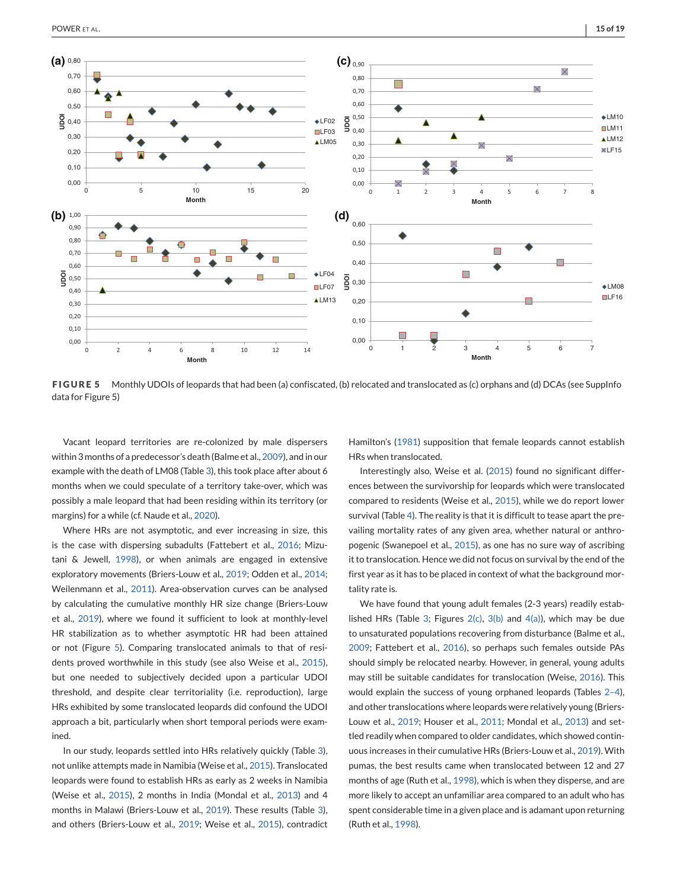

<span id="page-14-0"></span>

**FIGURE 5** Monthly UDOIs of leopards that had been (a) confiscated, (b) relocated and translocated as (c) orphans and (d) DCAs (see SuppInfo data for Figure 5)

Vacant leopard territories are re-colonized by male dispersers within 3 months of a predecessor's death (Balme et al., [2009\)](#page-16-0), and in our example with the death of LM08 (Table [3\)](#page-12-0), this took place after about 6 months when we could speculate of a territory take-over, which was possibly a male leopard that had been residing within its territory (or margins) for a while (cf. Naude et al., [2020\)](#page-17-0).

Where HRs are not asymptotic, and ever increasing in size, this is the case with dispersing subadults (Fattebert et al., [2016;](#page-16-0) Mizutani & Jewell, [1998\)](#page-17-0), or when animals are engaged in extensive exploratory movements (Briers-Louw et al., [2019;](#page-16-0) Odden et al., [2014;](#page-17-0) Weilenmann et al., [2011\)](#page-17-0). Area-observation curves can be analysed by calculating the cumulative monthly HR size change (Briers-Louw et al., [2019\)](#page-16-0), where we found it sufficient to look at monthly-level HR stabilization as to whether asymptotic HR had been attained or not (Figure 5). Comparing translocated animals to that of residents proved worthwhile in this study (see also Weise et al., [2015\)](#page-18-0), but one needed to subjectively decided upon a particular UDOI threshold, and despite clear territoriality (i.e. reproduction), large HRs exhibited by some translocated leopards did confound the UDOI approach a bit, particularly when short temporal periods were examined.

In our study, leopards settled into HRs relatively quickly (Table [3\)](#page-12-0), not unlike attempts made in Namibia (Weise et al., [2015\)](#page-18-0). Translocated leopards were found to establish HRs as early as 2 weeks in Namibia (Weise et al., [2015\)](#page-18-0), 2 months in India (Mondal et al., [2013\)](#page-17-0) and 4 months in Malawi (Briers-Louw et al., [2019\)](#page-16-0). These results (Table [3\)](#page-12-0), and others (Briers-Louw et al., [2019;](#page-16-0) Weise et al., [2015\)](#page-18-0), contradict Hamilton's [\(1981\)](#page-16-0) supposition that female leopards cannot establish HRs when translocated.

Interestingly also, Weise et al. [\(2015\)](#page-18-0) found no significant differences between the survivorship for leopards which were translocated compared to residents (Weise et al., [2015\)](#page-18-0), while we do report lower survival (Table [4\)](#page-13-0). The reality is that it is difficult to tease apart the prevailing mortality rates of any given area, whether natural or anthropogenic (Swanepoel et al., [2015\)](#page-17-0), as one has no sure way of ascribing it to translocation. Hence we did not focus on survival by the end of the first year as it has to be placed in context of what the background mortality rate is.

We have found that young adult females (2-3 years) readily estab-lished HRs (Table [3;](#page-12-0) Figures  $2(c)$ ,  $3(b)$  and  $4(a)$ ), which may be due to unsaturated populations recovering from disturbance (Balme et al., [2009;](#page-16-0) Fattebert et al., [2016\)](#page-16-0), so perhaps such females outside PAs should simply be relocated nearby. However, in general, young adults may still be suitable candidates for translocation (Weise, [2016\)](#page-17-0). This would explain the success of young orphaned leopards (Tables [2–4\)](#page-5-0), and other translocations where leopards were relatively young (Briers-Louw et al., [2019;](#page-16-0) Houser et al., [2011;](#page-17-0) Mondal et al., [2013\)](#page-17-0) and settled readily when compared to older candidates, which showed continuous increases in their cumulative HRs (Briers-Louw et al., [2019\)](#page-16-0). With pumas, the best results came when translocated between 12 and 27 months of age (Ruth et al., [1998\)](#page-17-0), which is when they disperse, and are more likely to accept an unfamiliar area compared to an adult who has spent considerable time in a given place and is adamant upon returning (Ruth et al., [1998\)](#page-17-0).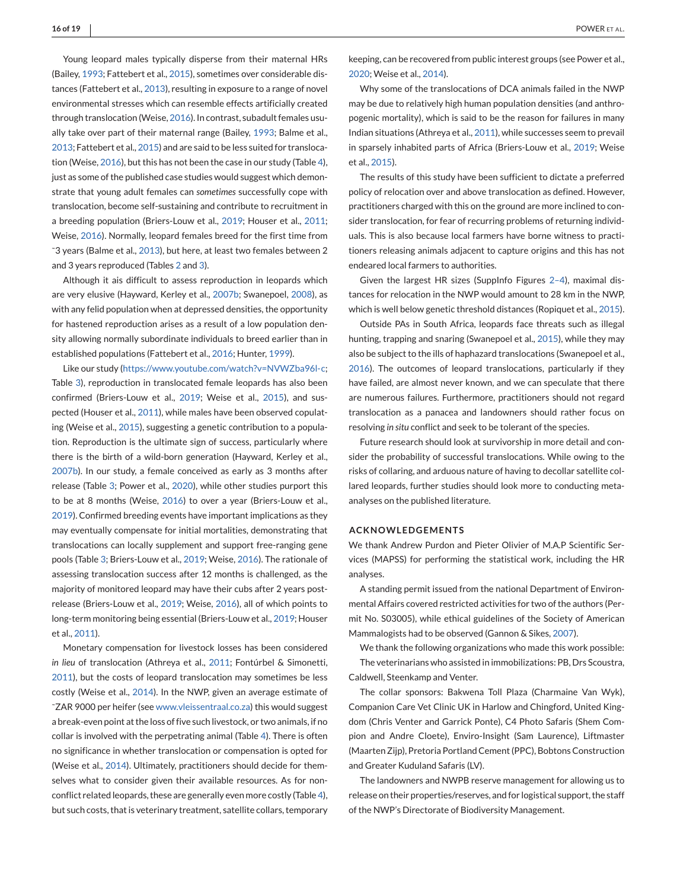Young leopard males typically disperse from their maternal HRs (Bailey, [1993;](#page-16-0) Fattebert et al., [2015\)](#page-16-0), sometimes over considerable distances (Fattebert et al., [2013\)](#page-16-0), resulting in exposure to a range of novel environmental stresses which can resemble effects artificially created through translocation (Weise, [2016\)](#page-17-0). In contrast, subadult females usually take over part of their maternal range (Bailey, [1993;](#page-16-0) Balme et al., [2013;](#page-16-0) Fattebert et al., [2015\)](#page-16-0) and are said to be less suited for translocation (Weise, [2016\)](#page-17-0), but this has not been the case in our study (Table [4\)](#page-13-0), just as some of the published case studies would suggest which demonstrate that young adult females can *sometimes* successfully cope with translocation, become self-sustaining and contribute to recruitment in a breeding population (Briers-Louw et al., [2019;](#page-16-0) Houser et al., [2011;](#page-17-0) Weise, [2016\)](#page-17-0). Normally, leopard females breed for the first time from ˜3 years (Balme et al., [2013\)](#page-16-0), but here, at least two females between 2 and 3 years reproduced (Tables [2](#page-5-0) and [3\)](#page-12-0).

Although it ais difficult to assess reproduction in leopards which are very elusive (Hayward, Kerley et al., [2007b;](#page-16-0) Swanepoel, [2008\)](#page-17-0), as with any felid population when at depressed densities, the opportunity for hastened reproduction arises as a result of a low population density allowing normally subordinate individuals to breed earlier than in established populations (Fattebert et al., [2016;](#page-16-0) Hunter, [1999\)](#page-17-0).

Like our study [\(https://www.youtube.com/watch?v=NVWZba96l-c;](https://www.youtube.com/watch?v=NVWZba96l-c) Table [3\)](#page-12-0), reproduction in translocated female leopards has also been confirmed (Briers-Louw et al., [2019;](#page-16-0) Weise et al., [2015\)](#page-18-0), and suspected (Houser et al., [2011\)](#page-17-0), while males have been observed copulating (Weise et al., [2015\)](#page-18-0), suggesting a genetic contribution to a population. Reproduction is the ultimate sign of success, particularly where there is the birth of a wild-born generation (Hayward, Kerley et al., [2007b\)](#page-16-0). In our study, a female conceived as early as 3 months after release (Table [3;](#page-12-0) Power et al., [2020\)](#page-17-0), while other studies purport this to be at 8 months (Weise, [2016\)](#page-17-0) to over a year (Briers-Louw et al., [2019\)](#page-16-0). Confirmed breeding events have important implications as they may eventually compensate for initial mortalities, demonstrating that translocations can locally supplement and support free-ranging gene pools (Table [3;](#page-12-0) Briers-Louw et al., [2019;](#page-16-0) Weise, [2016\)](#page-17-0). The rationale of assessing translocation success after 12 months is challenged, as the majority of monitored leopard may have their cubs after 2 years postrelease (Briers-Louw et al., [2019;](#page-16-0) Weise, [2016\)](#page-17-0), all of which points to long-term monitoring being essential (Briers-Louw et al., [2019;](#page-16-0) Houser et al., [2011\)](#page-17-0).

Monetary compensation for livestock losses has been considered *in lieu* of translocation (Athreya et al., [2011;](#page-16-0) Fontúrbel & Simonetti, [2011\)](#page-16-0), but the costs of leopard translocation may sometimes be less costly (Weise et al., [2014\)](#page-18-0). In the NWP, given an average estimate of ˜ZAR 9000 per heifer (see [www.vleissentraal.co.za\)](http://www.vleissentraal.co.za) this would suggest a break-even point at the loss of five such livestock, or two animals, if no collar is involved with the perpetrating animal (Table [4\)](#page-13-0). There is often no significance in whether translocation or compensation is opted for (Weise et al., [2014\)](#page-18-0). Ultimately, practitioners should decide for themselves what to consider given their available resources. As for nonconflict related leopards, these are generally even more costly (Table [4\)](#page-13-0), but such costs, that is veterinary treatment, satellite collars, temporary keeping, can be recovered from public interest groups (see Power et al., [2020;](#page-17-0) Weise et al., [2014\)](#page-18-0).

Why some of the translocations of DCA animals failed in the NWP may be due to relatively high human population densities (and anthropogenic mortality), which is said to be the reason for failures in many Indian situations (Athreya et al., [2011\)](#page-16-0), while successes seem to prevail in sparsely inhabited parts of Africa (Briers-Louw et al., [2019;](#page-16-0) Weise et al., [2015\)](#page-18-0).

The results of this study have been sufficient to dictate a preferred policy of relocation over and above translocation as defined. However, practitioners charged with this on the ground are more inclined to consider translocation, for fear of recurring problems of returning individuals. This is also because local farmers have borne witness to practitioners releasing animals adjacent to capture origins and this has not endeared local farmers to authorities.

Given the largest HR sizes (SuppInfo Figures [2–4\)](#page-6-0), maximal distances for relocation in the NWP would amount to 28 km in the NWP, which is well below genetic threshold distances (Ropiquet et al., [2015\)](#page-17-0).

Outside PAs in South Africa, leopards face threats such as illegal hunting, trapping and snaring (Swanepoel et al., [2015\)](#page-17-0), while they may also be subject to the ills of haphazard translocations (Swanepoel et al., [2016\)](#page-17-0). The outcomes of leopard translocations, particularly if they have failed, are almost never known, and we can speculate that there are numerous failures. Furthermore, practitioners should not regard translocation as a panacea and landowners should rather focus on resolving *in situ* conflict and seek to be tolerant of the species.

Future research should look at survivorship in more detail and consider the probability of successful translocations. While owing to the risks of collaring, and arduous nature of having to decollar satellite collared leopards, further studies should look more to conducting metaanalyses on the published literature.

#### **ACKNOWLEDGEMENTS**

We thank Andrew Purdon and Pieter Olivier of M.A.P Scientific Services (MAPSS) for performing the statistical work, including the HR analyses.

A standing permit issued from the national Department of Environmental Affairs covered restricted activities for two of the authors (Permit No. S03005), while ethical guidelines of the Society of American Mammalogists had to be observed (Gannon & Sikes, [2007\)](#page-16-0).

We thank the following organizations who made this work possible: The veterinarians who assisted in immobilizations: PB, Drs Scoustra, Caldwell, Steenkamp and Venter.

The collar sponsors: Bakwena Toll Plaza (Charmaine Van Wyk), Companion Care Vet Clinic UK in Harlow and Chingford, United Kingdom (Chris Venter and Garrick Ponte), C4 Photo Safaris (Shem Compion and Andre Cloete), Enviro-Insight (Sam Laurence), Liftmaster (Maarten Zijp), Pretoria Portland Cement (PPC), Bobtons Construction and Greater Kuduland Safaris (LV).

The landowners and NWPB reserve management for allowing us to release on their properties/reserves, and for logistical support, the staff of the NWP's Directorate of Biodiversity Management.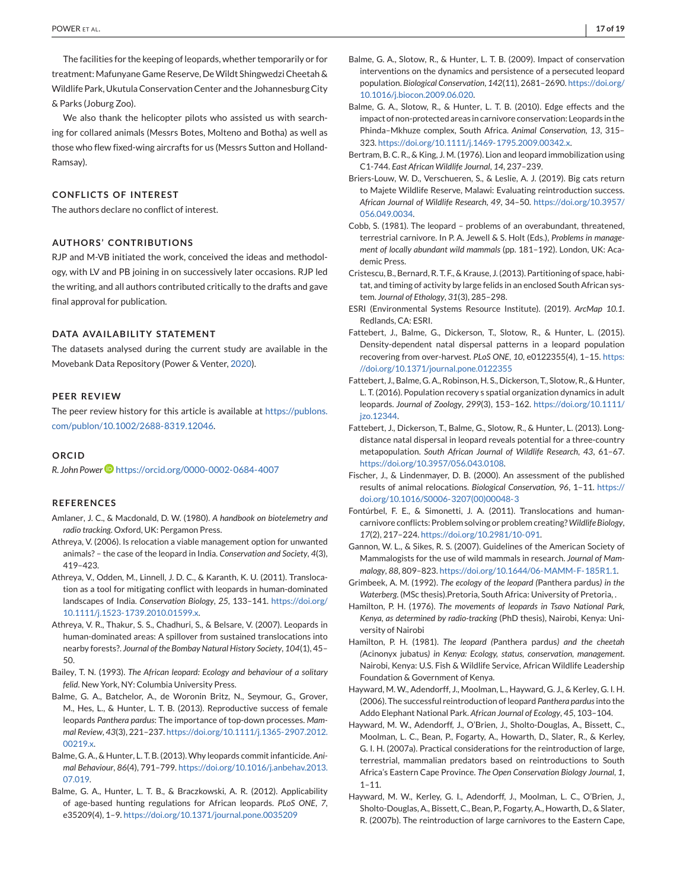<span id="page-16-0"></span>The facilities for the keeping of leopards, whether temporarily or for treatment: Mafunyane Game Reserve, DeWildt Shingwedzi Cheetah & Wildlife Park, Ukutula Conservation Center and the Johannesburg City & Parks (Joburg Zoo).

We also thank the helicopter pilots who assisted us with searching for collared animals (Messrs Botes, Molteno and Botha) as well as those who flew fixed-wing aircrafts for us (Messrs Sutton and Holland-Ramsay).

## **CONFLICTS OF INTEREST**

The authors declare no conflict of interest.

## **AUTHORS' CONTRIBUTIONS**

RJP and M-VB initiated the work, conceived the ideas and methodology, with LV and PB joining in on successively later occasions. RJP led the writing, and all authors contributed critically to the drafts and gave final approval for publication.

### **DATA AVAILABILITY STATEMENT**

The datasets analysed during the current study are available in the Movebank Data Repository (Power & Venter, [2020\)](#page-17-0).

## **PEER REVIEW**

The peer review history for this article is available at [https://publons.](https://publons.com/publon/10.1002/2688-8319.12046) [com/publon/10.1002/2688-8319.12046.](https://publons.com/publon/10.1002/2688-8319.12046)

#### **ORCID**

*R. John Power* <https://orcid.org/0000-0002-0684-4007>

## **REFERENCES**

- Amlaner, J. C., & Macdonald, D. W. (1980). *A handbook on biotelemetry and radio tracking*. Oxford, UK: Pergamon Press.
- Athreya, V. (2006). Is relocation a viable management option for unwanted animals? – the case of the leopard in India. *Conservation and Society*, *4*(3), 419–423.
- Athreya, V., Odden, M., Linnell, J. D. C., & Karanth, K. U. (2011). Translocation as a tool for mitigating conflict with leopards in human-dominated landscapes of India. *Conservation Biology*, *25*, 133–141. [https://doi.org/](https://doi.org/10.1111/j.1523-1739.2010.01599.x) [10.1111/j.1523-1739.2010.01599.x.](https://doi.org/10.1111/j.1523-1739.2010.01599.x)
- Athreya, V. R., Thakur, S. S., Chadhuri, S., & Belsare, V. (2007). Leopards in human-dominated areas: A spillover from sustained translocations into nearby forests?. *Journal of the Bombay Natural History Society*, *104*(1), 45– 50.
- Bailey, T. N. (1993). *The African leopard: Ecology and behaviour of a solitary felid*. New York, NY: Columbia University Press.
- Balme, G. A., Batchelor, A., de Woronin Britz, N., Seymour, G., Grover, M., Hes, L., & Hunter, L. T. B. (2013). Reproductive success of female leopards *Panthera pardus*: The importance of top-down processes. *Mammal Review*, *43*(3), 221–237. [https://doi.org/10.1111/j.1365-2907.2012.](https://doi.org/10.1111/j.1365-2907.2012.00219.x) [00219.x.](https://doi.org/10.1111/j.1365-2907.2012.00219.x)
- Balme, G. A., & Hunter, L. T. B. (2013).Why leopards commit infanticide. *Animal Behaviour*, *86*(4), 791–799. [https://doi.org/10.1016/j.anbehav.2013.](https://doi.org/10.1016/j.anbehav.2013.07.019) [07.019.](https://doi.org/10.1016/j.anbehav.2013.07.019)
- Balme, G. A., Hunter, L. T. B., & Braczkowski, A. R. (2012). Applicability of age-based hunting regulations for African leopards. *PLoS ONE*, *7*, e35209(4), 1–9. <https://doi.org/10.1371/journal.pone.0035209>
- Balme, G. A., Slotow, R., & Hunter, L. T. B. (2009). Impact of conservation interventions on the dynamics and persistence of a persecuted leopard population. *Biological Conservation*, *142*(11), 2681–2690. [https://doi.org/](https://doi.org/10.1016/j.biocon.2009.06.020) [10.1016/j.biocon.2009.06.020.](https://doi.org/10.1016/j.biocon.2009.06.020)
- Balme, G. A., Slotow, R., & Hunter, L. T. B. (2010). Edge effects and the impact of non-protected areas in carnivore conservation: Leopards in the Phinda–Mkhuze complex, South Africa. *Animal Conservation*, *13*, 315– 323. [https://doi.org/10.1111/j.1469-1795.2009.00342.x.](https://doi.org/10.1111/j.1469-1795.2009.00342.x)
- Bertram, B. C. R., & King, J. M. (1976). Lion and leopard immobilization using C1-744. *East African Wildlife Journal*, *14*, 237–239.
- Briers-Louw, W. D., Verschueren, S., & Leslie, A. J. (2019). Big cats return to Majete Wildlife Reserve, Malawi: Evaluating reintroduction success. *African Journal of Wildlife Research*, *49*, 34–50. [https://doi.org/10.3957/](https://doi.org/10.3957/056.049.0034) [056.049.0034.](https://doi.org/10.3957/056.049.0034)
- Cobb, S. (1981). The leopard problems of an overabundant, threatened, terrestrial carnivore. In P. A. Jewell & S. Holt (Eds.), *Problems in management of locally abundant wild mammals* (pp. 181–192). London, UK: Academic Press.
- Cristescu, B., Bernard, R. T. F., & Krause, J. (2013). Partitioning of space, habitat, and timing of activity by large felids in an enclosed South African system. *Journal of Ethology*, *31*(3), 285–298.
- ESRI (Environmental Systems Resource Institute). (2019). *ArcMap 10.1*. Redlands, CA: ESRI.
- Fattebert, J., Balme, G., Dickerson, T., Slotow, R., & Hunter, L. (2015). Density-dependent natal dispersal patterns in a leopard population recovering from over-harvest. *PLoS ONE*, *10*, e0122355(4), 1–15. [https:](https://doi.org/10.1371/journal.pone.0122355) [//doi.org/10.1371/journal.pone.0122355](https://doi.org/10.1371/journal.pone.0122355)
- Fattebert, J., Balme, G. A., Robinson, H. S., Dickerson, T., Slotow, R., & Hunter, L. T. (2016). Population recovery s spatial organization dynamics in adult leopards. *Journal of Zoology*, *299*(3), 153–162. [https://doi.org/10.1111/](https://doi.org/10.1111/jzo.12344) [jzo.12344.](https://doi.org/10.1111/jzo.12344)
- Fattebert, J., Dickerson, T., Balme, G., Slotow, R., & Hunter, L. (2013). Longdistance natal dispersal in leopard reveals potential for a three-country metapopulation. *South African Journal of Wildlife Research*, *43*, 61–67. [https://doi.org/10.3957/056.043.0108.](https://doi.org/10.3957/056.043.0108)
- Fischer, J., & Lindenmayer, D. B. (2000). An assessment of the published results of animal relocations. *Biological Conservation*, *96*, 1–11. [https://](https://doi.org/10.1016/S0006-3207(00)00048-3) [doi.org/10.1016/S0006-3207\(00\)00048-3](https://doi.org/10.1016/S0006-3207(00)00048-3)
- Fontúrbel, F. E., & Simonetti, J. A. (2011). Translocations and humancarnivore conflicts: Problem solving or problem creating?*Wildlife Biology*, *17*(2), 217–224. [https://doi.org/10.2981/10-091.](https://doi.org/10.2981/10-091)
- Gannon, W. L., & Sikes, R. S. (2007). Guidelines of the American Society of Mammalogists for the use of wild mammals in research. *Journal of Mammalogy*, *88*, 809–823. [https://doi.org/10.1644/06-MAMM-F-185R1.1.](https://doi.org/10.1644/06-MAMM-F-185R1.1)
- Grimbeek, A. M. (1992). *The ecology of the leopard (*Panthera pardus*) in the Waterberg*. (MSc thesis).Pretoria, South Africa: University of Pretoria, .
- Hamilton, P. H. (1976). *The movements of leopards in Tsavo National Park, Kenya, as determined by radio-tracking* (PhD thesis), Nairobi, Kenya: University of Nairobi
- Hamilton, P. H. (1981). *The leopard (*Panthera pardus*) and the cheetah (*Acinonyx jubatus*) in Kenya: Ecology, status, conservation, management*. Nairobi, Kenya: U.S. Fish & Wildlife Service, African Wildlife Leadership Foundation & Government of Kenya.
- Hayward, M. W., Adendorff, J., Moolman, L., Hayward, G. J., & Kerley, G. I. H. (2006). The successful reintroduction of leopard *Panthera pardus*into the Addo Elephant National Park. *African Journal of Ecology*, *45*, 103–104.
- Hayward, M. W., Adendorff, J., O'Brien, J., Sholto-Douglas, A., Bissett, C., Moolman, L. C., Bean, P., Fogarty, A., Howarth, D., Slater, R., & Kerley, G. I. H. (2007a). Practical considerations for the reintroduction of large, terrestrial, mammalian predators based on reintroductions to South Africa's Eastern Cape Province. *The Open Conservation Biology Journal*, *1*,  $1 - 11.$
- Hayward, M. W., Kerley, G. I., Adendorff, J., Moolman, L. C., O'Brien, J., Sholto-Douglas, A., Bissett, C., Bean, P., Fogarty, A., Howarth, D., & Slater, R. (2007b). The reintroduction of large carnivores to the Eastern Cape,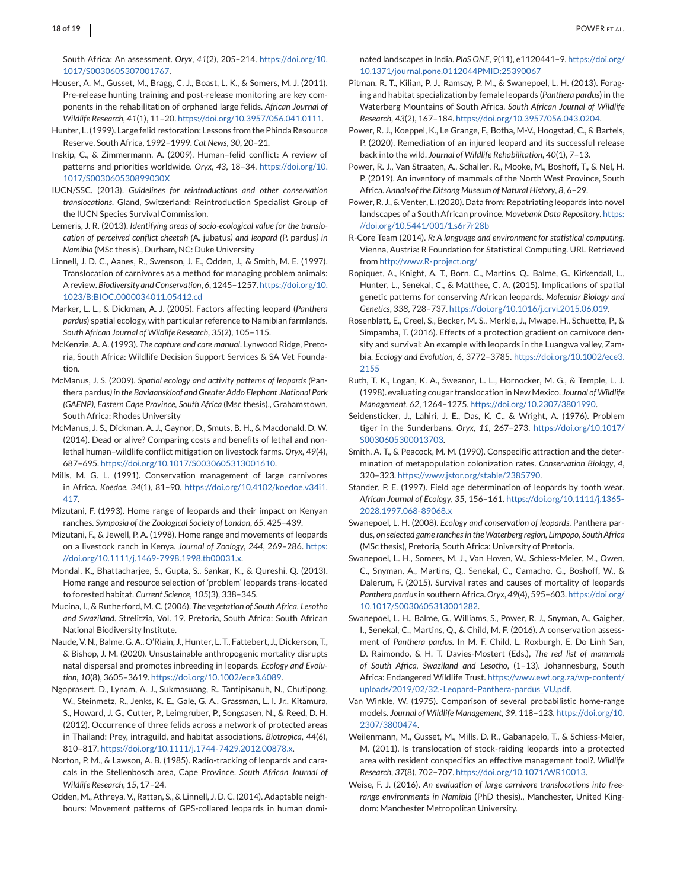<span id="page-17-0"></span>South Africa: An assessment. *Oryx*, *41*(2), 205–214. [https://doi.org/10.](https://doi.org/10.1017/S0030605307001767) [1017/S0030605307001767.](https://doi.org/10.1017/S0030605307001767)

- Houser, A. M., Gusset, M., Bragg, C. J., Boast, L. K., & Somers, M. J. (2011). Pre-release hunting training and post-release monitoring are key components in the rehabilitation of orphaned large felids. *African Journal of Wildlife Research*, *41*(1), 11–20. [https://doi.org/10.3957/056.041.0111.](https://doi.org/10.3957/056.041.0111)
- Hunter, L. (1999). Large felid restoration: Lessons from the Phinda Resource Reserve, South Africa, 1992–1999. *Cat News*, *30*, 20–21.
- Inskip, C., & Zimmermann, A. (2009). Human–felid conflict: A review of patterns and priorities worldwide. *Oryx*, *43*, 18–34. [https://doi.org/10.](https://doi.org/10.1017/S003060530899030X) [1017/S003060530899030X](https://doi.org/10.1017/S003060530899030X)
- IUCN/SSC. (2013). *Guidelines for reintroductions and other conservation translocations*. Gland, Switzerland: Reintroduction Specialist Group of the IUCN Species Survival Commission.
- Lemeris, J. R. (2013). *Identifying areas of socio-ecological value for the translocation of perceived conflict cheetah (*A. jubatus*) and leopard (*P. pardus*) in Namibia* (MSc thesis)., Durham, NC: Duke University
- Linnell, J. D. C., Aanes, R., Swenson, J. E., Odden, J., & Smith, M. E. (1997). Translocation of carnivores as a method for managing problem animals: A review. *Biodiversity and Conservation*, *6*, 1245–1257. [https://doi.org/10.](https://doi.org/10.1023/B:BIOC.0000034011.05412.cd) [1023/B:BIOC.0000034011.05412.cd](https://doi.org/10.1023/B:BIOC.0000034011.05412.cd)
- Marker, L. L., & Dickman, A. J. (2005). Factors affecting leopard (*Panthera pardus*) spatial ecology, with particular reference to Namibian farmlands. *South African Journal of Wildlife Research*, *35*(2), 105–115.
- McKenzie, A. A. (1993). *The capture and care manual*. Lynwood Ridge, Pretoria, South Africa: Wildlife Decision Support Services & SA Vet Foundation.
- McManus, J. S. (2009). *Spatial ecology and activity patterns of leopards (*Panthera pardus*) in the Baviaanskloof and Greater Addo Elephant .National Park (GAENP), Eastern Cape Province, South Africa* (Msc thesis)., Grahamstown, South Africa: Rhodes University
- McManus, J. S., Dickman, A. J., Gaynor, D., Smuts, B. H., & Macdonald, D. W. (2014). Dead or alive? Comparing costs and benefits of lethal and nonlethal human–wildlife conflict mitigation on livestock farms. *Oryx*, *49*(4), 687–695. [https://doi.org/10.1017/S0030605313001610.](https://doi.org/10.1017/S0030605313001610)
- Mills, M. G. L. (1991). Conservation management of large carnivores in Africa. *Koedoe*, *34*(1), 81–90. [https://doi.org/10.4102/koedoe.v34i1.](https://doi.org/10.4102/koedoe.v34i1.417) [417.](https://doi.org/10.4102/koedoe.v34i1.417)
- Mizutani, F. (1993). Home range of leopards and their impact on Kenyan ranches. *Symposia of the Zoological Society of London*, *65*, 425–439.
- Mizutani, F., & Jewell, P. A. (1998). Home range and movements of leopards on a livestock ranch in Kenya. *Journal of Zoology*, *244*, 269–286. [https:](https://doi.org/10.1111/j.1469-7998.1998.tb00031.x) [//doi.org/10.1111/j.1469-7998.1998.tb00031.x.](https://doi.org/10.1111/j.1469-7998.1998.tb00031.x)
- Mondal, K., Bhattacharjee, S., Gupta, S., Sankar, K., & Qureshi, Q. (2013). Home range and resource selection of 'problem' leopards trans-located to forested habitat. *Current Science*, *105*(3), 338–345.
- Mucina, I., & Rutherford, M. C. (2006). *The vegetation of South Africa, Lesotho and Swaziland*. Strelitzia, Vol. 19. Pretoria, South Africa: South African National Biodiversity Institute.
- Naude, V. N., Balme, G. A., O'Riain, J., Hunter, L. T., Fattebert, J., Dickerson, T., & Bishop, J. M. (2020). Unsustainable anthropogenic mortality disrupts natal dispersal and promotes inbreeding in leopards. *Ecology and Evolution*, *10*(8), 3605–3619. [https://doi.org/10.1002/ece3.6089.](https://doi.org/10.1002/ece3.6089)
- Ngoprasert, D., Lynam, A. J., Sukmasuang, R., Tantipisanuh, N., Chutipong, W., Steinmetz, R., Jenks, K. E., Gale, G. A., Grassman, L. I. Jr., Kitamura, S., Howard, J. G., Cutter, P., Leimgruber, P., Songsasen, N., & Reed, D. H. (2012). Occurrence of three felids across a network of protected areas in Thailand: Prey, intraguild, and habitat associations. *Biotropica*, *44*(6), 810–817. [https://doi.org/10.1111/j.1744-7429.2012.00878.x.](https://doi.org/10.1111/j.1744-7429.2012.00878.x)
- Norton, P. M., & Lawson, A. B. (1985). Radio-tracking of leopards and caracals in the Stellenbosch area, Cape Province. *South African Journal of Wildlife Research*, *15*, 17–24.
- Odden, M., Athreya, V., Rattan, S., & Linnell, J. D. C. (2014). Adaptable neighbours: Movement patterns of GPS-collared leopards in human domi-

nated landscapes in India. *PloS ONE*, *9*(11), e1120441–9. [https://doi.org/](https://doi.org/10.1371/journal.pone.0112044PMID:25390067) [10.1371/journal.pone.0112044PMID:25390067](https://doi.org/10.1371/journal.pone.0112044PMID:25390067)

- Pitman, R. T., Kilian, P. J., Ramsay, P. M., & Swanepoel, L. H. (2013). Foraging and habitat specialization by female leopards (*Panthera pardus*) in the Waterberg Mountains of South Africa. *South African Journal of Wildlife Research*, *43*(2), 167–184. [https://doi.org/10.3957/056.043.0204.](https://doi.org/10.3957/056.043.0204)
- Power, R. J., Koeppel, K., Le Grange, F., Botha, M-V., Hoogstad, C., & Bartels, P. (2020). Remediation of an injured leopard and its successful release back into the wild. *Journal of Wildlife Rehabilitation*, *40*(1), 7–13.
- Power, R. J., Van Straaten, A., Schaller, R., Mooke, M., Boshoff, T., & Nel, H. P. (2019). An inventory of mammals of the North West Province, South Africa. *Annals of the Ditsong Museum of Natural History*, *8*, 6–29.
- Power, R. J., & Venter, L. (2020). Data from: Repatriating leopards into novel landscapes of a South African province. *Movebank Data Repository*. [https:](https://doi.org/10.5441/001/1.s6r7r28b) [//doi.org/10.5441/001/1.s6r7r28b](https://doi.org/10.5441/001/1.s6r7r28b)
- R-Core Team (2014). *R: A language and environment for statistical computing*. Vienna, Austria: R Foundation for Statistical Computing. URL Retrieved from <http://www.R-project.org/>
- Ropiquet, A., Knight, A. T., Born, C., Martins, Q., Balme, G., Kirkendall, L., Hunter, L., Senekal, C., & Matthee, C. A. (2015). Implications of spatial genetic patterns for conserving African leopards. *Molecular Biology and Genetics*, *338*, 728–737. [https://doi.org/10.1016/j.crvi.2015.06.019.](https://doi.org/10.1016/j.crvi.2015.06.019)
- Rosenblatt, E., Creel, S., Becker, M. S., Merkle, J., Mwape, H., Schuette, P., & Simpamba, T. (2016). Effects of a protection gradient on carnivore density and survival: An example with leopards in the Luangwa valley, Zambia. *Ecology and Evolution*, *6*, 3772–3785. [https://doi.org/10.1002/ece3.](https://doi.org/10.1002/ece3.2155) [2155](https://doi.org/10.1002/ece3.2155)
- Ruth, T. K., Logan, K. A., Sweanor, L. L., Hornocker, M. G., & Temple, L. J. (1998). evaluating cougar translocation in New Mexico. *Journal ofWildlife Management*, *62*, 1264–1275. [https://doi.org/10.2307/3801990.](https://doi.org/10.2307/3801990)
- Seidensticker, J., Lahiri, J. E., Das, K. C., & Wright, A. (1976). Problem tiger in the Sunderbans. *Oryx*, *11*, 267–273. [https://doi.org/10.1017/](https://doi.org/10.1017/S0030605300013703) [S0030605300013703.](https://doi.org/10.1017/S0030605300013703)
- Smith, A. T., & Peacock, M. M. (1990). Conspecific attraction and the determination of metapopulation colonization rates. *Conservation Biology*, *4*, 320–323. [https://www.jstor.org/stable/2385790.](https://www.jstor.org/stable/2385790)
- Stander, P. E. (1997). Field age determination of leopards by tooth wear. *African Journal of Ecology*, *35*, 156–161. [https://doi.org/10.1111/j.1365-](https://doi.org/10.1111/j.1365-2028.1997.068-89068.x) [2028.1997.068-89068.x](https://doi.org/10.1111/j.1365-2028.1997.068-89068.x)
- Swanepoel, L. H. (2008). *Ecology and conservation of leopards,* Panthera pardus*, on selected game ranches in the Waterberg region, Limpopo, South Africa* (MSc thesis), Pretoria, South Africa: University of Pretoria.
- Swanepoel, L. H., Somers, M. J., Van Hoven, W., Schiess-Meier, M., Owen, C., Snyman, A., Martins, Q., Senekal, C., Camacho, G., Boshoff, W., & Dalerum, F. (2015). Survival rates and causes of mortality of leopards *Panthera pardus*in southern Africa. *Oryx*, *49*(4), 595–603. [https://doi.org/](https://doi.org/10.1017/S0030605313001282) [10.1017/S0030605313001282.](https://doi.org/10.1017/S0030605313001282)
- Swanepoel, L. H., Balme, G., Williams, S., Power, R. J., Snyman, A., Gaigher, I., Senekal, C., Martins, Q., & Child, M. F. (2016). A conservation assessment of *Panthera pardus*. In M. F. Child, L. Roxburgh, E. Do Linh San, D. Raimondo, & H. T. Davies-Mostert (Eds.), *The red list of mammals of South Africa, Swaziland and Lesotho*, (1–13). Johannesburg, South Africa: Endangered Wildlife Trust. [https://www.ewt.org.za/wp-content/](https://www.ewt.org.za/wp-content/uploads/2019/02/32.-Leopard-Panthera-pardus_VU.pdf) [uploads/2019/02/32.-Leopard-Panthera-pardus\\_VU.pdf.](https://www.ewt.org.za/wp-content/uploads/2019/02/32.-Leopard-Panthera-pardus_VU.pdf)
- Van Winkle, W. (1975). Comparison of several probabilistic home-range models. *Journal of Wildlife Management*, *39*, 118–123. [https://doi.org/10.](https://doi.org/10.2307/3800474) [2307/3800474.](https://doi.org/10.2307/3800474)
- Weilenmann, M., Gusset, M., Mills, D. R., Gabanapelo, T., & Schiess-Meier, M. (2011). Is translocation of stock-raiding leopards into a protected area with resident conspecifics an effective management tool?. *Wildlife Research*, *37*(8), 702–707. [https://doi.org/10.1071/WR10013.](https://doi.org/10.1071/WR10013)
- Weise, F. J. (2016). *An evaluation of large carnivore translocations into freerange environments in Namibia* (PhD thesis)., Manchester, United Kingdom: Manchester Metropolitan University.